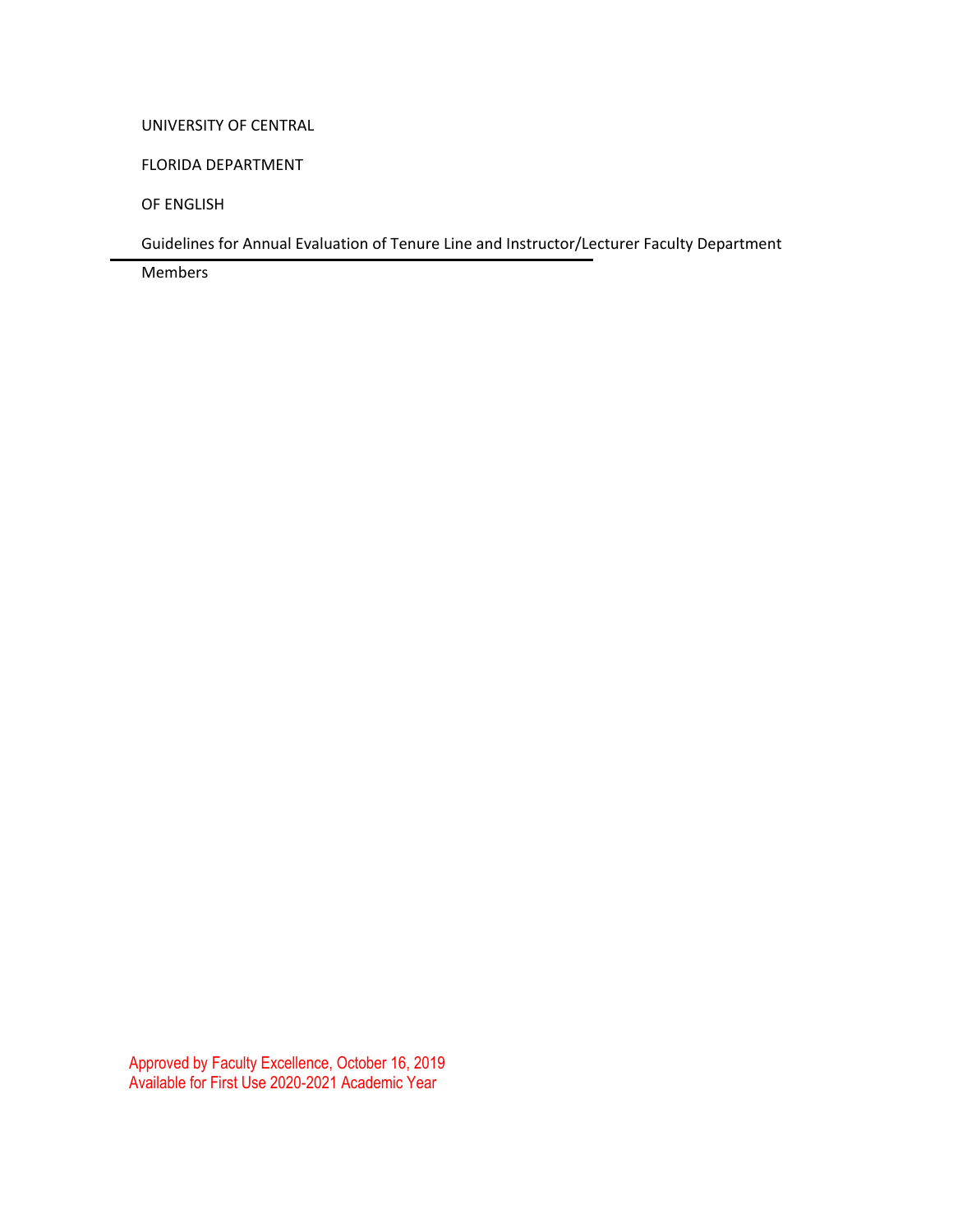#### UNIVERSITY OF CENTRAL

FLORIDA DEPARTMENT

OF ENGLISH

Guidelines for Annual Evaluation of Tenure Line and Instructor/Lecturer Faculty Department

Members

Approved by Faculty Excellence, October 16, 2019 Available for First Use 2020-2021 Academic Year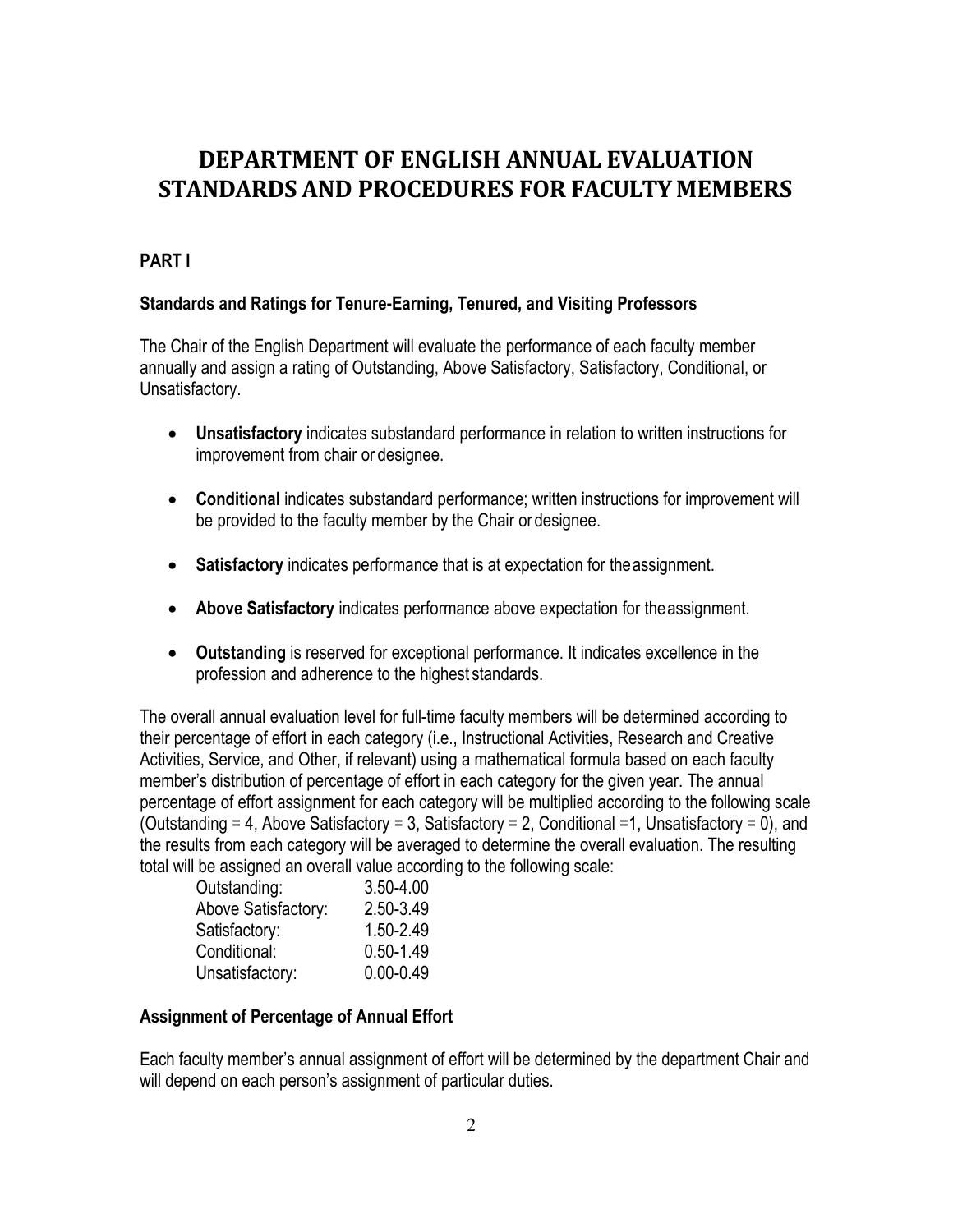# **DEPARTMENT OF ENGLISH ANNUAL EVALUATION STANDARDS AND PROCEDURES FOR FACULTY MEMBERS**

# **PART I**

#### **Standards and Ratings for Tenure-Earning, Tenured, and Visiting Professors**

The Chair of the English Department will evaluate the performance of each faculty member annually and assign a rating of Outstanding, Above Satisfactory, Satisfactory, Conditional, or Unsatisfactory.

- **Unsatisfactory** indicates substandard performance in relation to written instructions for improvement from chair or designee.
- **Conditional** indicates substandard performance; written instructions for improvement will be provided to the faculty member by the Chair or designee.
- **Satisfactory** indicates performance that is at expectation for theassignment.
- **Above Satisfactory** indicates performance above expectation for theassignment.
- **Outstanding** is reserved for exceptional performance. It indicates excellence in the profession and adherence to the highest standards.

The overall annual evaluation level for full-time faculty members will be determined according to their percentage of effort in each category (i.e., Instructional Activities, Research and Creative Activities, Service, and Other, if relevant) using a mathematical formula based on each faculty member's distribution of percentage of effort in each category for the given year. The annual percentage of effort assignment for each category will be multiplied according to the following scale (Outstanding = 4, Above Satisfactory = 3, Satisfactory = 2, Conditional =1, Unsatisfactory = 0), and the results from each category will be averaged to determine the overall evaluation. The resulting total will be assigned an overall value according to the following scale:

| Outstanding:        | 3.50-4.00     |
|---------------------|---------------|
| Above Satisfactory: | 2.50-3.49     |
| Satisfactory:       | 1.50-2.49     |
| Conditional:        | $0.50 - 1.49$ |
| Unsatisfactory:     | $0.00 - 0.49$ |
|                     |               |

### **Assignment of Percentage of Annual Effort**

Each faculty member's annual assignment of effort will be determined by the department Chair and will depend on each person's assignment of particular duties.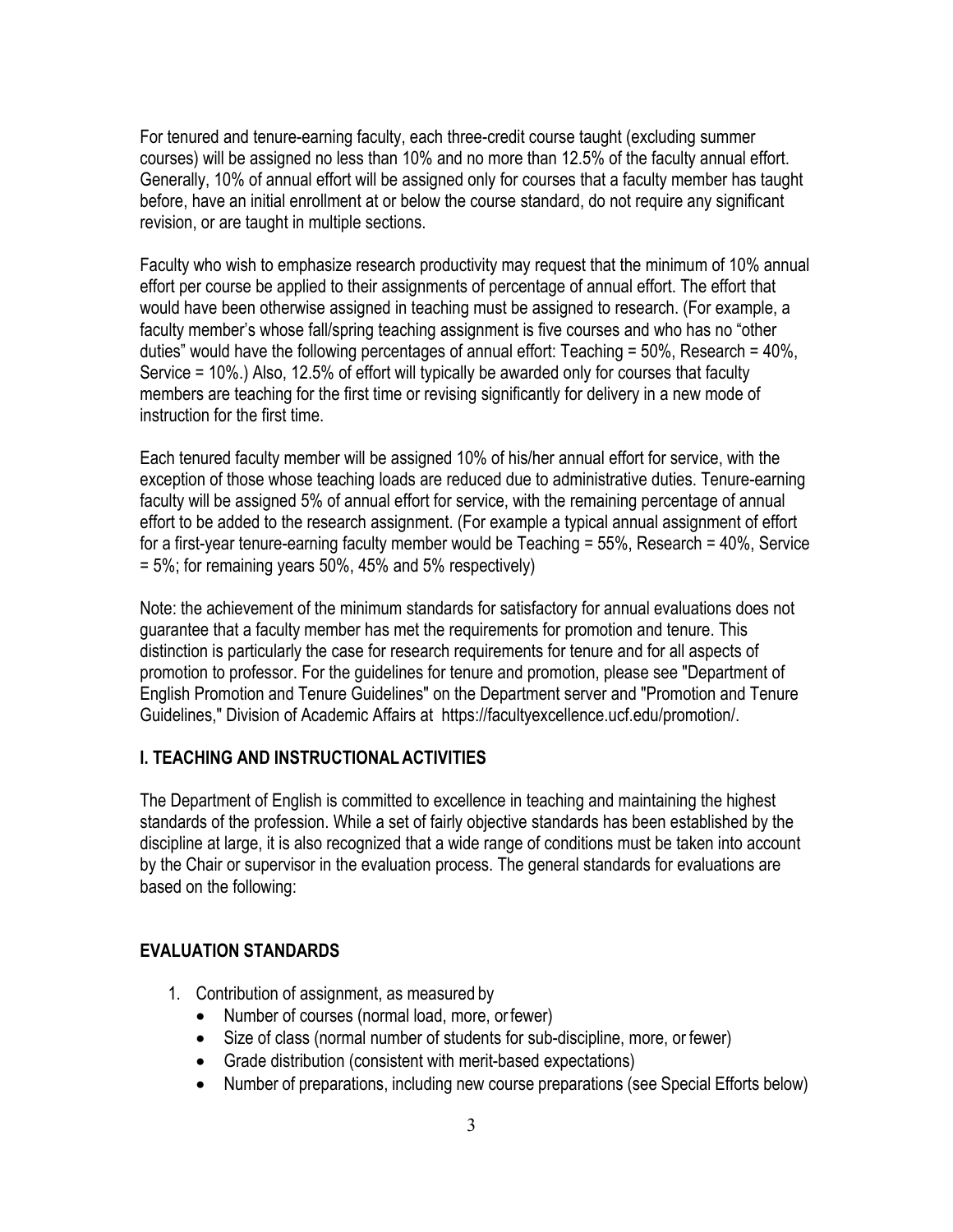For tenured and tenure-earning faculty, each three-credit course taught (excluding summer courses) will be assigned no less than 10% and no more than 12.5% of the faculty annual effort. Generally, 10% of annual effort will be assigned only for courses that a faculty member has taught before, have an initial enrollment at or below the course standard, do not require any significant revision, or are taught in multiple sections.

Faculty who wish to emphasize research productivity may request that the minimum of 10% annual effort per course be applied to their assignments of percentage of annual effort. The effort that would have been otherwise assigned in teaching must be assigned to research. (For example, a faculty member's whose fall/spring teaching assignment is five courses and who has no "other duties" would have the following percentages of annual effort: Teaching = 50%, Research = 40%, Service = 10%.) Also, 12.5% of effort will typically be awarded only for courses that faculty members are teaching for the first time or revising significantly for delivery in a new mode of instruction for the first time.

Each tenured faculty member will be assigned 10% of his/her annual effort for service, with the exception of those whose teaching loads are reduced due to administrative duties. Tenure-earning faculty will be assigned 5% of annual effort for service, with the remaining percentage of annual effort to be added to the research assignment. (For example a typical annual assignment of effort for a first-year tenure-earning faculty member would be Teaching = 55%, Research = 40%, Service  $= 5\%$ ; for remaining years 50%, 45% and 5% respectively)

Note: the achievement of the minimum standards for satisfactory for annual evaluations does not guarantee that a faculty member has met the requirements for promotion and tenure. This distinction is particularly the case for research requirements for tenure and for all aspects of promotion to professor. For the guidelines for tenure and promotion, please see "Department of English Promotion and Tenure Guidelines" on the Department server and "Promotion and Tenure Guidelines," Division of Academic Affairs at [https://facultyexcellence.ucf.edu/promotion/.](http://www.facultyaffairs.ucf.edu/)

#### **I. TEACHING AND INSTRUCTIONALACTIVITIES**

The Department of English is committed to excellence in teaching and maintaining the highest standards of the profession. While a set of fairly objective standards has been established by the discipline at large, it is also recognized that a wide range of conditions must be taken into account by the Chair or supervisor in the evaluation process. The general standards for evaluations are based on the following:

#### **EVALUATION STANDARDS**

- 1. Contribution of assignment, as measured by
	- Number of courses (normal load, more, or fewer)
	- Size of class (normal number of students for sub-discipline, more, or fewer)
	- Grade distribution (consistent with merit-based expectations)
	- Number of preparations, including new course preparations (see Special Efforts below)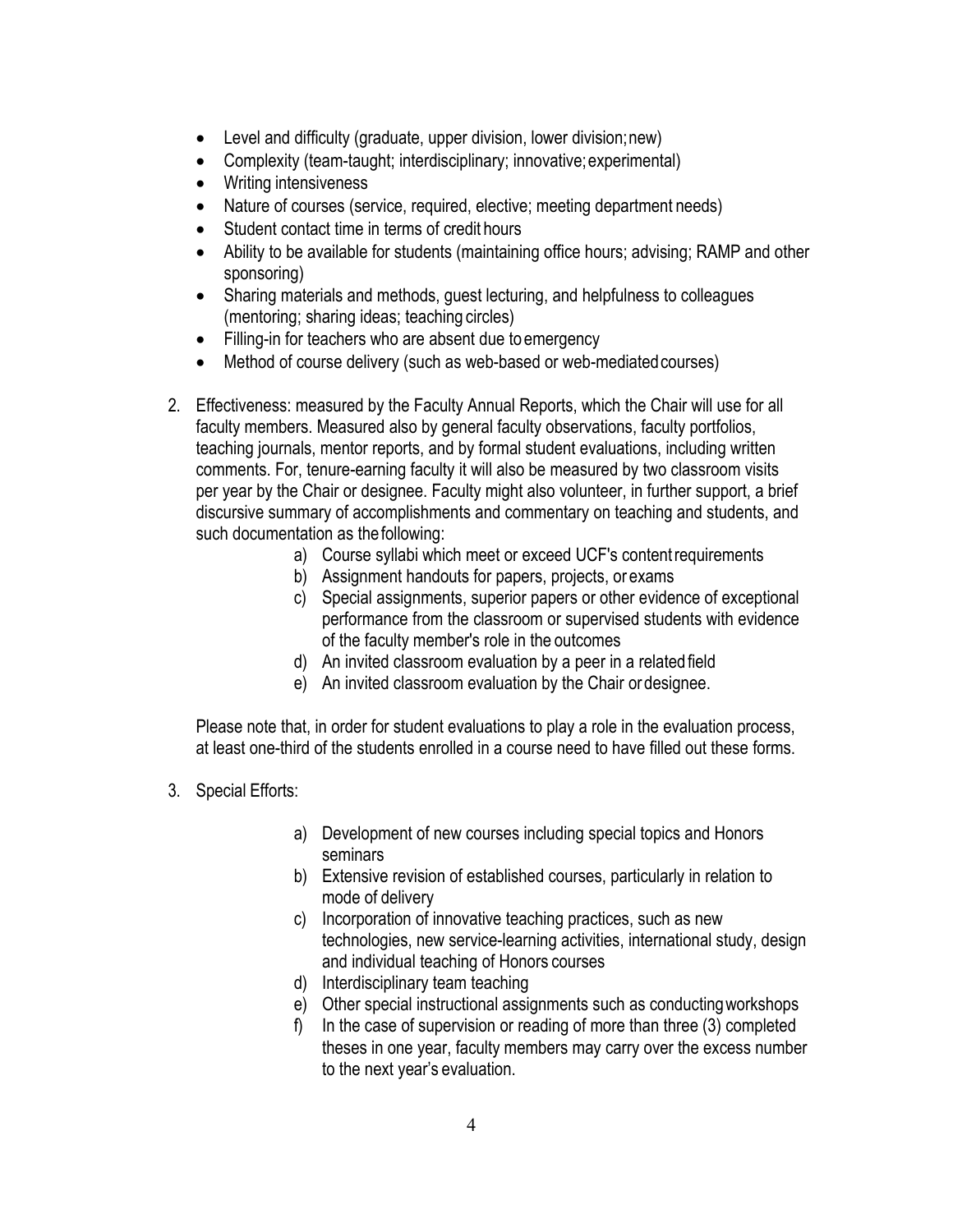- Level and difficulty (graduate, upper division, lower division;new)
- Complexity (team-taught; interdisciplinary; innovative;experimental)
- Writing intensiveness
- Nature of courses (service, required, elective; meeting department needs)
- Student contact time in terms of credit hours
- Ability to be available for students (maintaining office hours; advising; RAMP and other sponsoring)
- Sharing materials and methods, guest lecturing, and helpfulness to colleagues (mentoring; sharing ideas; teaching circles)
- Filling-in for teachers who are absent due to emergency
- Method of course delivery (such as web-based or web-mediated courses)
- 2. Effectiveness: measured by the Faculty Annual Reports, which the Chair will use for all faculty members. Measured also by general faculty observations, faculty portfolios, teaching journals, mentor reports, and by formal student evaluations, including written comments. For, tenure-earning faculty it will also be measured by two classroom visits per year by the Chair or designee. Faculty might also volunteer, in further support, a brief discursive summary of accomplishments and commentary on teaching and students, and such documentation as the following:
	- a) Course syllabi which meet or exceed UCF's contentrequirements
	- b) Assignment handouts for papers, projects, or exams
	- c) Special assignments, superior papers or other evidence of exceptional performance from the classroom or supervised students with evidence of the faculty member's role in the outcomes
	- d) An invited classroom evaluation by a peer in a relatedfield
	- e) An invited classroom evaluation by the Chair or designee.

Please note that, in order for student evaluations to play a role in the evaluation process, at least one-third of the students enrolled in a course need to have filled out these forms.

- 3. Special Efforts:
	- a) Development of new courses including special topics and Honors seminars
	- b) Extensive revision of established courses, particularly in relation to mode of delivery
	- c) Incorporation of innovative teaching practices, such as new technologies, new service-learning activities, international study, design and individual teaching of Honors courses
	- d) Interdisciplinary team teaching
	- e) Other special instructional assignments such as conductingworkshops
	- f) In the case of supervision or reading of more than three (3) completed theses in one year, faculty members may carry over the excess number to the next year's evaluation.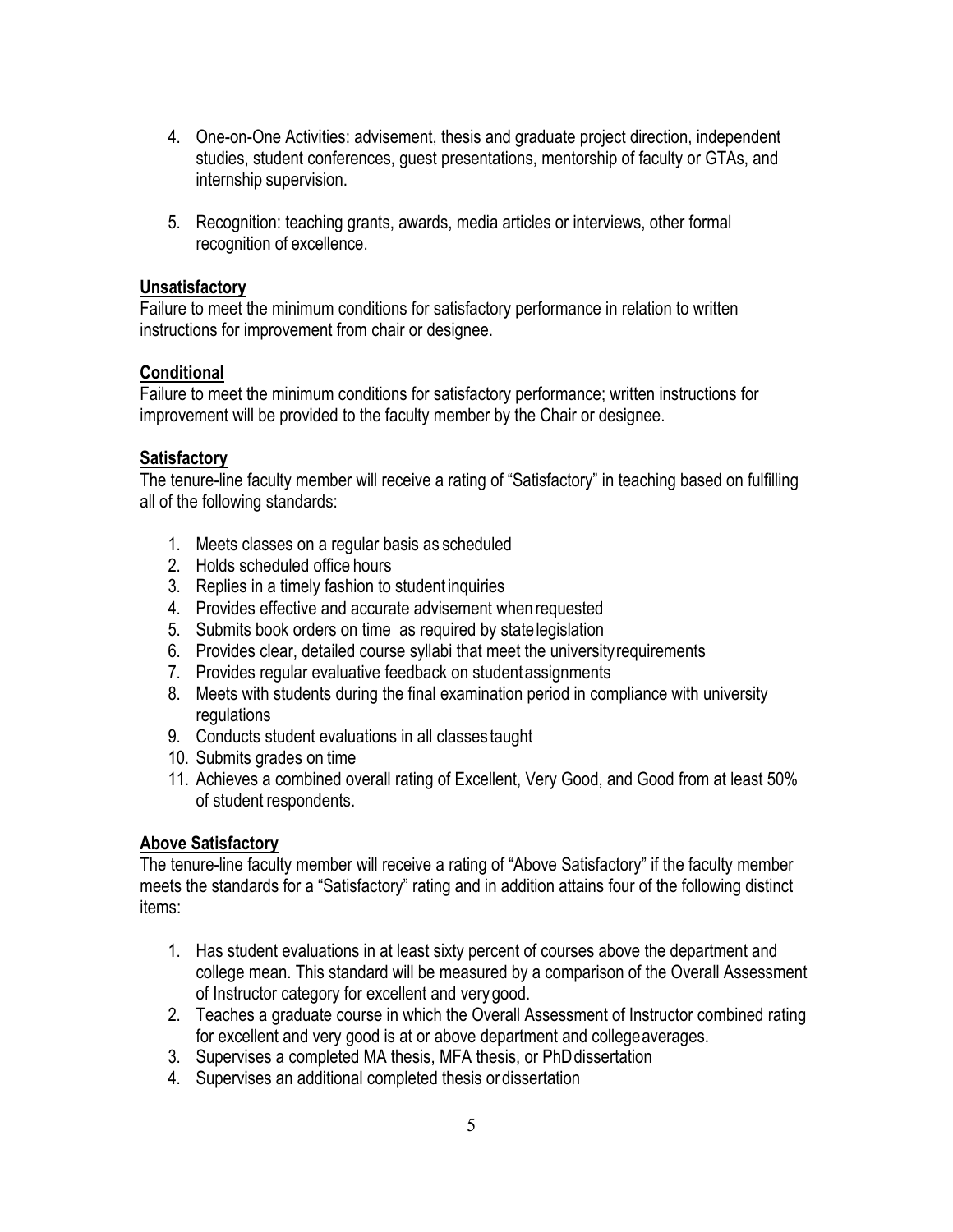- 4. One-on-One Activities: advisement, thesis and graduate project direction, independent studies, student conferences, guest presentations, mentorship of faculty or GTAs, and internship supervision.
- 5. Recognition: teaching grants, awards, media articles or interviews, other formal recognition of excellence.

#### **Unsatisfactory**

Failure to meet the minimum conditions for satisfactory performance in relation to written instructions for improvement from chair or designee.

#### **Conditional**

Failure to meet the minimum conditions for satisfactory performance; written instructions for improvement will be provided to the faculty member by the Chair or designee.

### **Satisfactory**

The tenure-line faculty member will receive a rating of "Satisfactory" in teaching based on fulfilling all of the following standards:

- 1. Meets classes on a regular basis as scheduled
- 2. Holds scheduled office hours
- 3. Replies in a timely fashion to student inquiries
- 4. Provides effective and accurate advisement when requested
- 5. Submits book orders on time as required by statelegislation
- 6. Provides clear, detailed course syllabi that meet the universityrequirements
- 7. Provides regular evaluative feedback on studentassignments
- 8. Meets with students during the final examination period in compliance with university regulations
- 9. Conducts student evaluations in all classes taught
- 10. Submits grades on time
- 11. Achieves a combined overall rating of Excellent, Very Good, and Good from at least 50% of student respondents.

### **Above Satisfactory**

The tenure-line faculty member will receive a rating of "Above Satisfactory" if the faculty member meets the standards for a "Satisfactory" rating and in addition attains four of the following distinct items:

- 1. Has student evaluations in at least sixty percent of courses above the department and college mean. This standard will be measured by a comparison of the Overall Assessment of Instructor category for excellent and very good.
- 2. Teaches a graduate course in which the Overall Assessment of Instructor combined rating for excellent and very good is at or above department and collegeaverages.
- 3. Supervises a completed MA thesis, MFA thesis, or PhDdissertation
- 4. Supervises an additional completed thesis or dissertation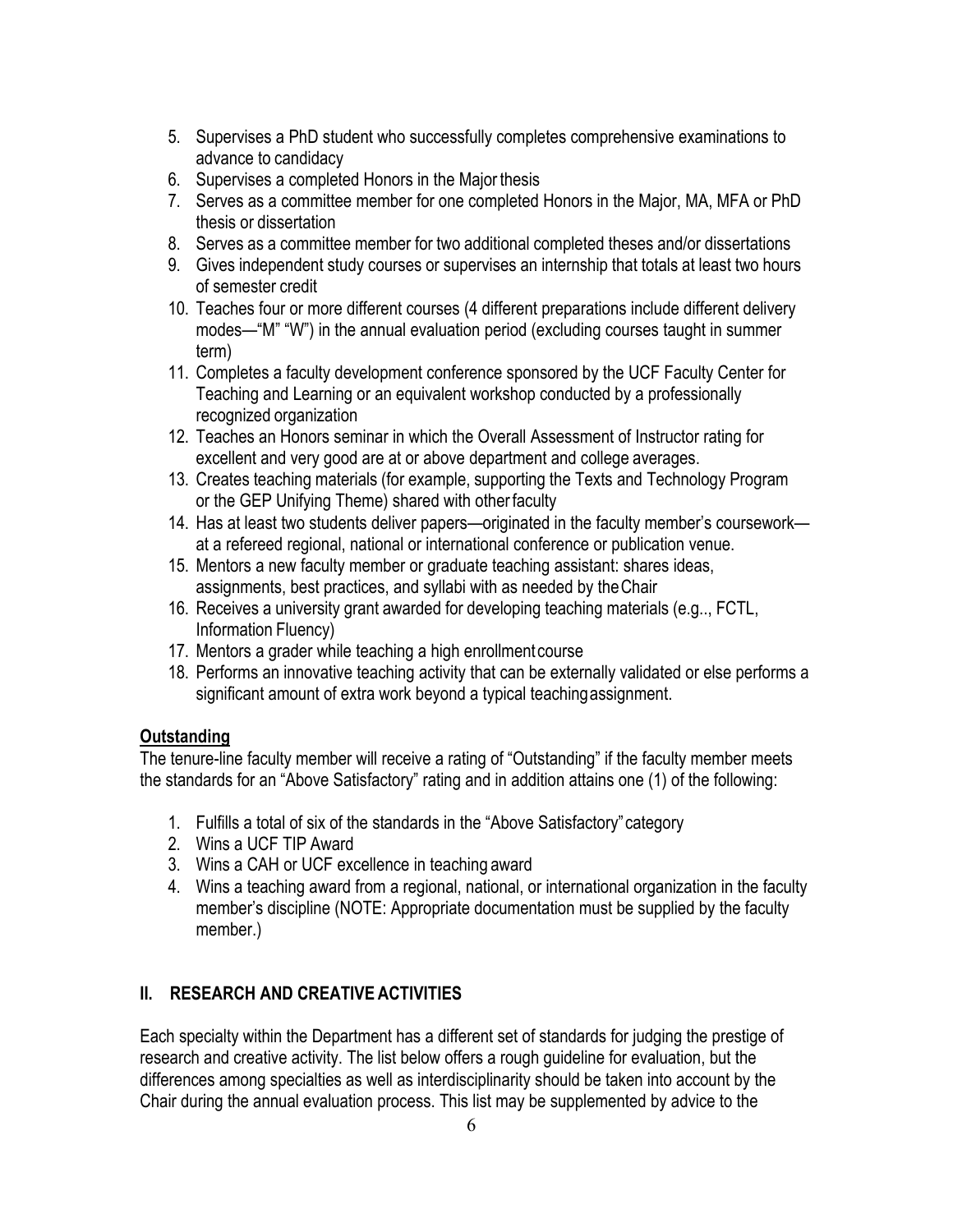- 5. Supervises a PhD student who successfully completes comprehensive examinations to advance to candidacy
- 6. Supervises a completed Honors in the Major thesis
- 7. Serves as a committee member for one completed Honors in the Major, MA, MFA or PhD thesis or dissertation
- 8. Serves as a committee member for two additional completed theses and/or dissertations
- 9. Gives independent study courses or supervises an internship that totals at least two hours of semester credit
- 10. Teaches four or more different courses (4 different preparations include different delivery modes—"M" "W") in the annual evaluation period (excluding courses taught in summer term)
- 11. Completes a faculty development conference sponsored by the UCF Faculty Center for Teaching and Learning or an equivalent workshop conducted by a professionally recognized organization
- 12. Teaches an Honors seminar in which the Overall Assessment of Instructor rating for excellent and very good are at or above department and college averages.
- 13. Creates teaching materials (for example, supporting the Texts and Technology Program or the GEP Unifying Theme) shared with otherfaculty
- 14. Has at least two students deliver papers—originated in the faculty member's coursework at a refereed regional, national or international conference or publication venue.
- 15. Mentors a new faculty member or graduate teaching assistant: shares ideas, assignments, best practices, and syllabi with as needed by theChair
- 16. Receives a university grant awarded for developing teaching materials (e.g.., FCTL, Information Fluency)
- 17. Mentors a grader while teaching a high enrollmentcourse
- 18. Performs an innovative teaching activity that can be externally validated or else performs a significant amount of extra work beyond a typical teachingassignment.

# **Outstanding**

The tenure-line faculty member will receive a rating of "Outstanding" if the faculty member meets the standards for an "Above Satisfactory" rating and in addition attains one (1) of the following:

- 1. Fulfills a total of six of the standards in the "Above Satisfactory"category
- 2. Wins a UCF TIP Award
- 3. Wins a CAH or UCF excellence in teaching award
- 4. Wins a teaching award from a regional, national, or international organization in the faculty member's discipline (NOTE: Appropriate documentation must be supplied by the faculty member.)

# **II. RESEARCH AND CREATIVE ACTIVITIES**

Each specialty within the Department has a different set of standards for judging the prestige of research and creative activity. The list below offers a rough guideline for evaluation, but the differences among specialties as well as interdisciplinarity should be taken into account by the Chair during the annual evaluation process. This list may be supplemented by advice to the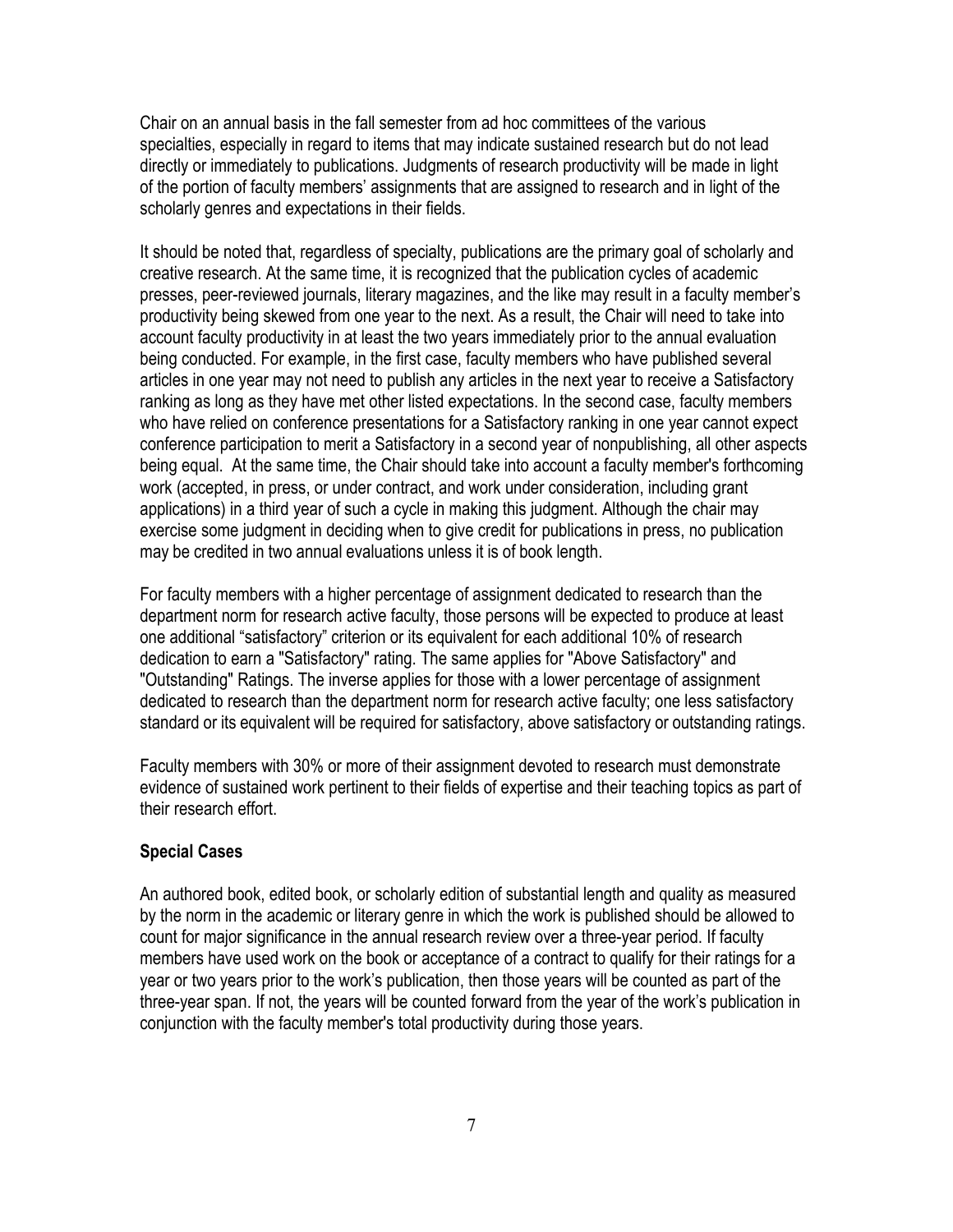Chair on an annual basis in the fall semester from ad hoc committees of the various specialties, especially in regard to items that may indicate sustained research but do not lead directly or immediately to publications. Judgments of research productivity will be made in light of the portion of faculty members' assignments that are assigned to research and in light of the scholarly genres and expectations in their fields.

It should be noted that, regardless of specialty, publications are the primary goal of scholarly and creative research. At the same time, it is recognized that the publication cycles of academic presses, peer-reviewed journals, literary magazines, and the like may result in a faculty member's productivity being skewed from one year to the next. As a result, the Chair will need to take into account faculty productivity in at least the two years immediately prior to the annual evaluation being conducted. For example, in the first case, faculty members who have published several articles in one year may not need to publish any articles in the next year to receive a Satisfactory ranking as long as they have met other listed expectations. In the second case, faculty members who have relied on conference presentations for a Satisfactory ranking in one year cannot expect conference participation to merit a Satisfactory in a second year of nonpublishing, all other aspects being equal. At the same time, the Chair should take into account a faculty member's forthcoming work (accepted, in press, or under contract, and work under consideration, including grant applications) in a third year of such a cycle in making this judgment. Although the chair may exercise some judgment in deciding when to give credit for publications in press, no publication may be credited in two annual evaluations unless it is of book length.

For faculty members with a higher percentage of assignment dedicated to research than the department norm for research active faculty, those persons will be expected to produce at least one additional "satisfactory" criterion or its equivalent for each additional 10% of research dedication to earn a "Satisfactory" rating. The same applies for "Above Satisfactory" and "Outstanding" Ratings. The inverse applies for those with a lower percentage of assignment dedicated to research than the department norm for research active faculty; one less satisfactory standard or its equivalent will be required for satisfactory, above satisfactory or outstanding ratings.

Faculty members with 30% or more of their assignment devoted to research must demonstrate evidence of sustained work pertinent to their fields of expertise and their teaching topics as part of their research effort.

#### **Special Cases**

An authored book, edited book, or scholarly edition of substantial length and quality as measured by the norm in the academic or literary genre in which the work is published should be allowed to count for major significance in the annual research review over a three-year period. If faculty members have used work on the book or acceptance of a contract to qualify for their ratings for a year or two years prior to the work's publication, then those years will be counted as part of the three-year span. If not, the years will be counted forward from the year of the work's publication in conjunction with the faculty member's total productivity during those years.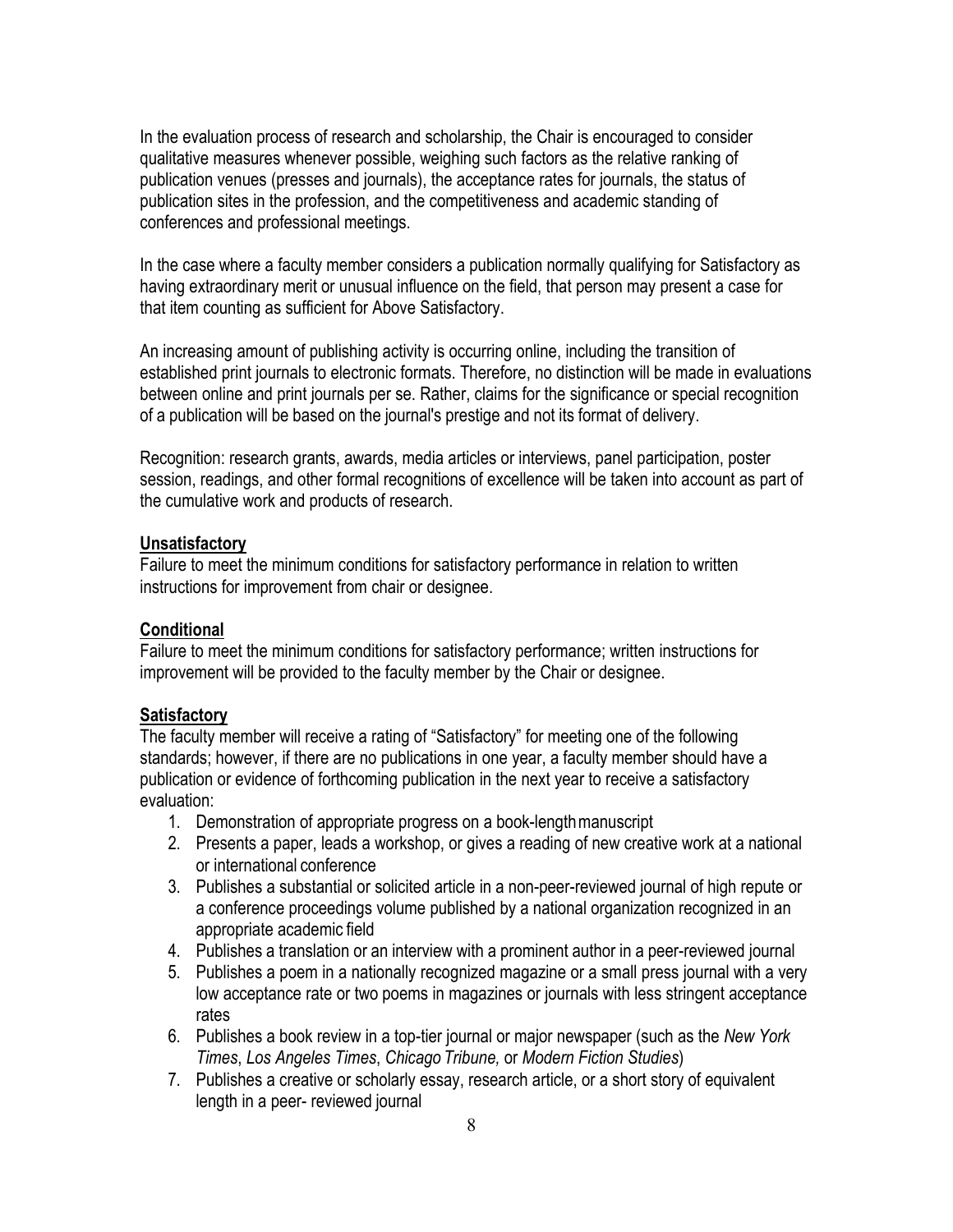In the evaluation process of research and scholarship, the Chair is encouraged to consider qualitative measures whenever possible, weighing such factors as the relative ranking of publication venues (presses and journals), the acceptance rates for journals, the status of publication sites in the profession, and the competitiveness and academic standing of conferences and professional meetings.

In the case where a faculty member considers a publication normally qualifying for Satisfactory as having extraordinary merit or unusual influence on the field, that person may present a case for that item counting as sufficient for Above Satisfactory.

An increasing amount of publishing activity is occurring online, including the transition of established print journals to electronic formats. Therefore, no distinction will be made in evaluations between online and print journals per se. Rather, claims for the significance or special recognition of a publication will be based on the journal's prestige and not its format of delivery.

Recognition: research grants, awards, media articles or interviews, panel participation, poster session, readings, and other formal recognitions of excellence will be taken into account as part of the cumulative work and products of research.

#### **Unsatisfactory**

Failure to meet the minimum conditions for satisfactory performance in relation to written instructions for improvement from chair or designee.

#### **Conditional**

Failure to meet the minimum conditions for satisfactory performance; written instructions for improvement will be provided to the faculty member by the Chair or designee.

#### **Satisfactory**

The faculty member will receive a rating of "Satisfactory" for meeting one of the following standards; however, if there are no publications in one year, a faculty member should have a publication or evidence of forthcoming publication in the next year to receive a satisfactory evaluation:

- 1. Demonstration of appropriate progress on a book-lengthmanuscript
- 2. Presents a paper, leads a workshop, or gives a reading of new creative work at a national or international conference
- 3. Publishes a substantial or solicited article in a non-peer-reviewed journal of high repute or a conference proceedings volume published by a national organization recognized in an appropriate academic field
- 4. Publishes a translation or an interview with a prominent author in a peer-reviewed journal
- 5. Publishes a poem in a nationally recognized magazine or a small press journal with a very low acceptance rate or two poems in magazines or journals with less stringent acceptance rates
- 6. Publishes a book review in a top-tier journal or major newspaper (such as the *New York Times*, *Los Angeles Times*, *Chicago Tribune,* or *Modern Fiction Studies*)
- 7. Publishes a creative or scholarly essay, research article, or a short story of equivalent length in a peer- reviewed journal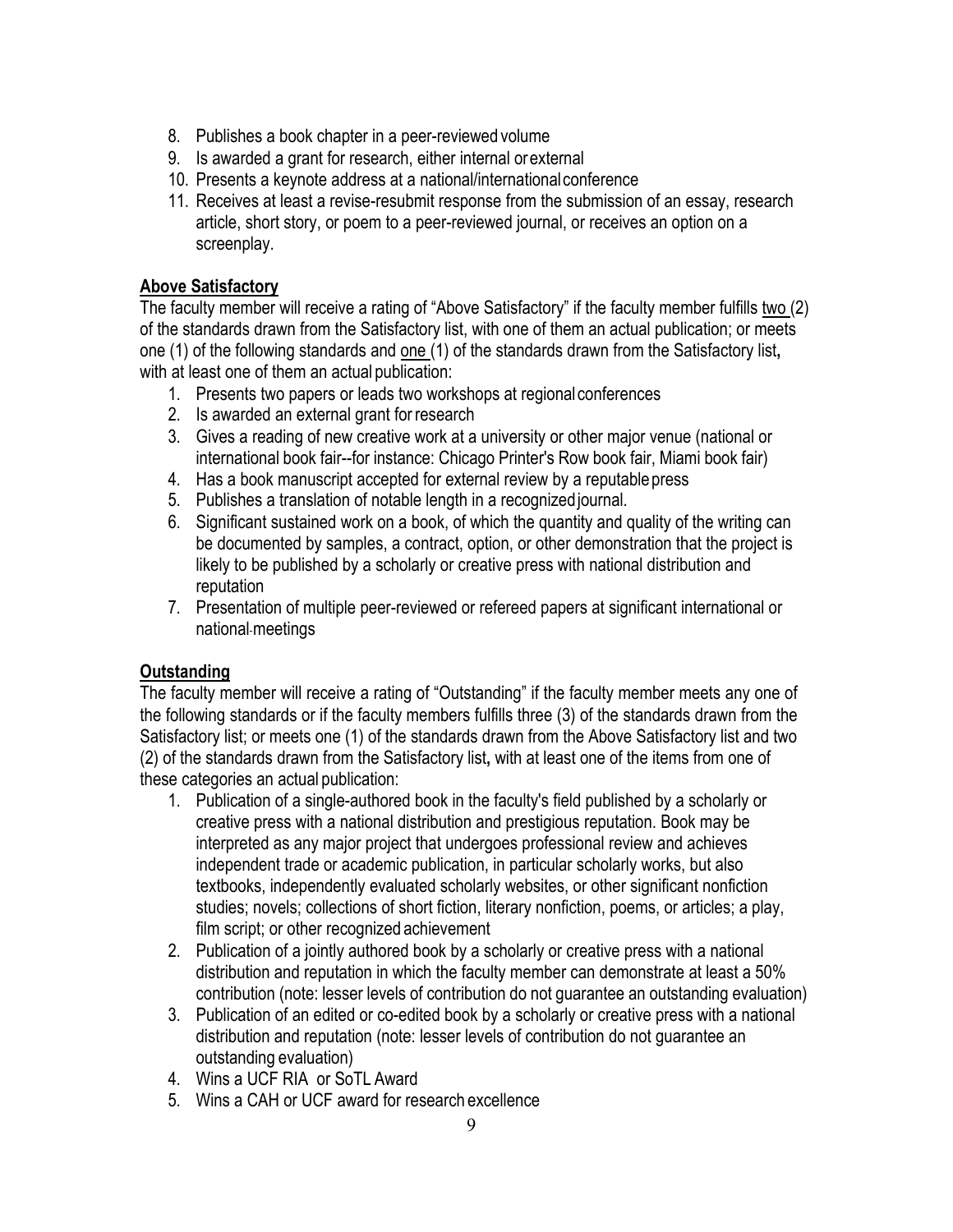- 8. Publishes a book chapter in a peer-reviewed volume
- 9. Is awarded a grant for research, either internal orexternal
- 10. Presents a keynote address at a national/internationalconference
- 11. Receives at least a revise-resubmit response from the submission of an essay, research article, short story, or poem to a peer-reviewed journal, or receives an option on a screenplay.

### **Above Satisfactory**

The faculty member will receive a rating of "Above Satisfactory" if the faculty member fulfills two (2) of the standards drawn from the Satisfactory list, with one of them an actual publication; or meets one (1) of the following standards and one (1) of the standards drawn from the Satisfactory list**,**  with at least one of them an actual publication:

- 1. Presents two papers or leads two workshops at regionalconferences
- 2. Is awarded an external grant for research
- 3. Gives a reading of new creative work at a university or other major venue (national or international book fair--for instance: Chicago Printer's Row book fair, Miami book fair)
- 4. Has a book manuscript accepted for external review by a reputable press
- 5. Publishes a translation of notable length in a recognizedjournal.
- 6. Significant sustained work on a book, of which the quantity and quality of the writing can be documented by samples, a contract, option, or other demonstration that the project is likely to be published by a scholarly or creative press with national distribution and reputation
- 7. Presentation of multiple peer-reviewed or refereed papers at significant international or national meetings

### **Outstanding**

The faculty member will receive a rating of "Outstanding" if the faculty member meets any one of the following standards or if the faculty members fulfills three (3) of the standards drawn from the Satisfactory list; or meets one (1) of the standards drawn from the Above Satisfactory list and two (2) of the standards drawn from the Satisfactory list**,** with at least one of the items from one of these categories an actual publication:

- 1. Publication of a single-authored book in the faculty's field published by a scholarly or creative press with a national distribution and prestigious reputation. Book may be interpreted as any major project that undergoes professional review and achieves independent trade or academic publication, in particular scholarly works, but also textbooks, independently evaluated scholarly websites, or other significant nonfiction studies; novels; collections of short fiction, literary nonfiction, poems, or articles; a play, film script; or other recognized achievement
- 2. Publication of a jointly authored book by a scholarly or creative press with a national distribution and reputation in which the faculty member can demonstrate at least a 50% contribution (note: lesser levels of contribution do not guarantee an outstanding evaluation)
- 3. Publication of an edited or co-edited book by a scholarly or creative press with a national distribution and reputation (note: lesser levels of contribution do not guarantee an outstanding evaluation)
- 4. Wins a UCF RIA or SoTL Award
- 5. Wins a CAH or UCF award for research excellence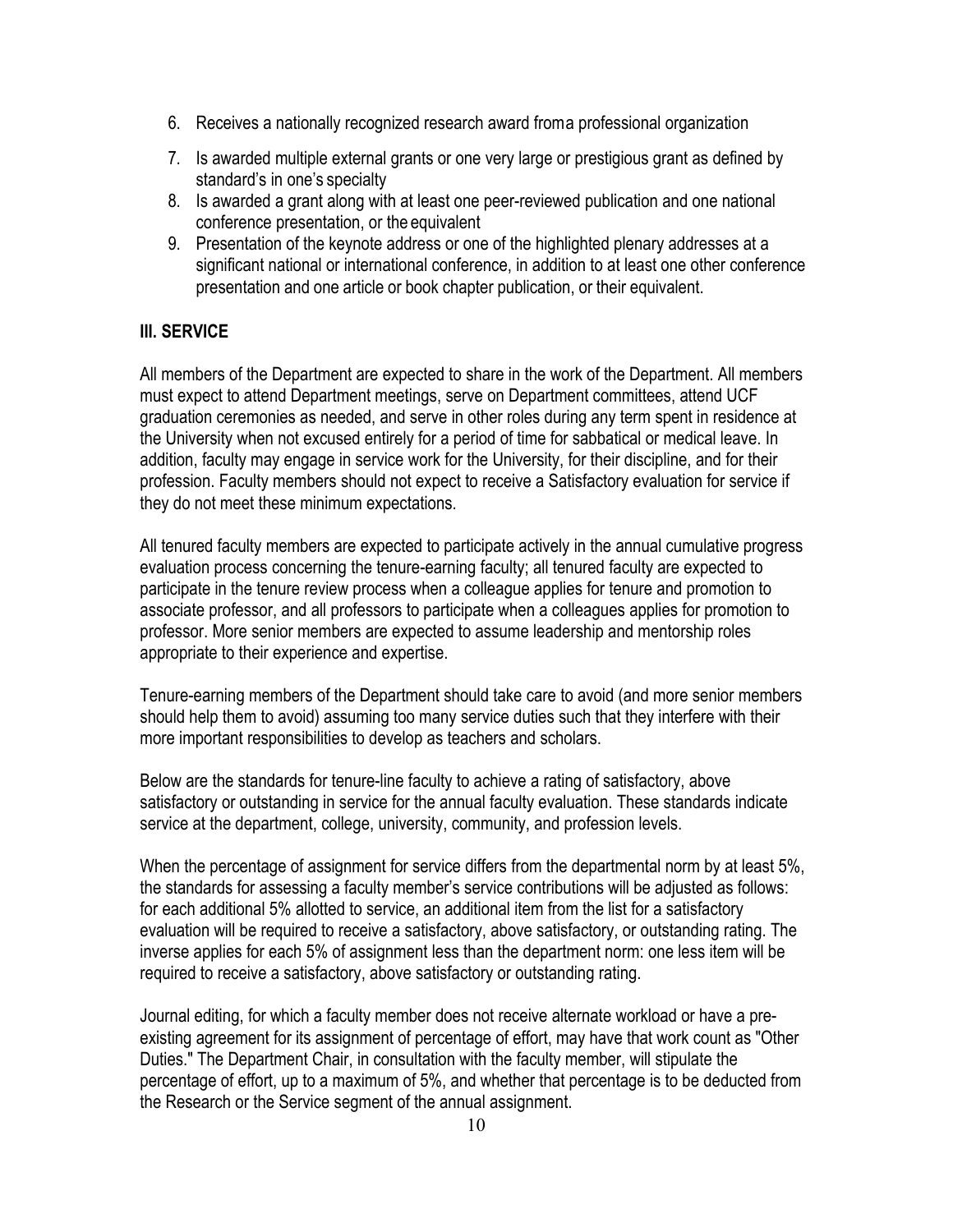- 6. Receives a nationally recognized research award froma professional organization
- 7. Is awarded multiple external grants or one very large or prestigious grant as defined by standard's in one's specialty
- 8. Is awarded a grant along with at least one peer-reviewed publication and one national conference presentation, or the equivalent
- 9. Presentation of the keynote address or one of the highlighted plenary addresses at a significant national or international conference, in addition to at least one other conference presentation and one article or book chapter publication, or their equivalent.

### **III. SERVICE**

All members of the Department are expected to share in the work of the Department. All members must expect to attend Department meetings, serve on Department committees, attend UCF graduation ceremonies as needed, and serve in other roles during any term spent in residence at the University when not excused entirely for a period of time for sabbatical or medical leave. In addition, faculty may engage in service work for the University, for their discipline, and for their profession. Faculty members should not expect to receive a Satisfactory evaluation for service if they do not meet these minimum expectations.

All tenured faculty members are expected to participate actively in the annual cumulative progress evaluation process concerning the tenure-earning faculty; all tenured faculty are expected to participate in the tenure review process when a colleague applies for tenure and promotion to associate professor, and all professors to participate when a colleagues applies for promotion to professor. More senior members are expected to assume leadership and mentorship roles appropriate to their experience and expertise.

Tenure-earning members of the Department should take care to avoid (and more senior members should help them to avoid) assuming too many service duties such that they interfere with their more important responsibilities to develop as teachers and scholars.

Below are the standards for tenure-line faculty to achieve a rating of satisfactory, above satisfactory or outstanding in service for the annual faculty evaluation. These standards indicate service at the department, college, university, community, and profession levels.

When the percentage of assignment for service differs from the departmental norm by at least 5%, the standards for assessing a faculty member's service contributions will be adjusted as follows: for each additional 5% allotted to service, an additional item from the list for a satisfactory evaluation will be required to receive a satisfactory, above satisfactory, or outstanding rating. The inverse applies for each 5% of assignment less than the department norm: one less item will be required to receive a satisfactory, above satisfactory or outstanding rating.

Journal editing, for which a faculty member does not receive alternate workload or have a preexisting agreement for its assignment of percentage of effort, may have that work count as "Other Duties." The Department Chair, in consultation with the faculty member, will stipulate the percentage of effort, up to a maximum of 5%, and whether that percentage is to be deducted from the Research or the Service segment of the annual assignment.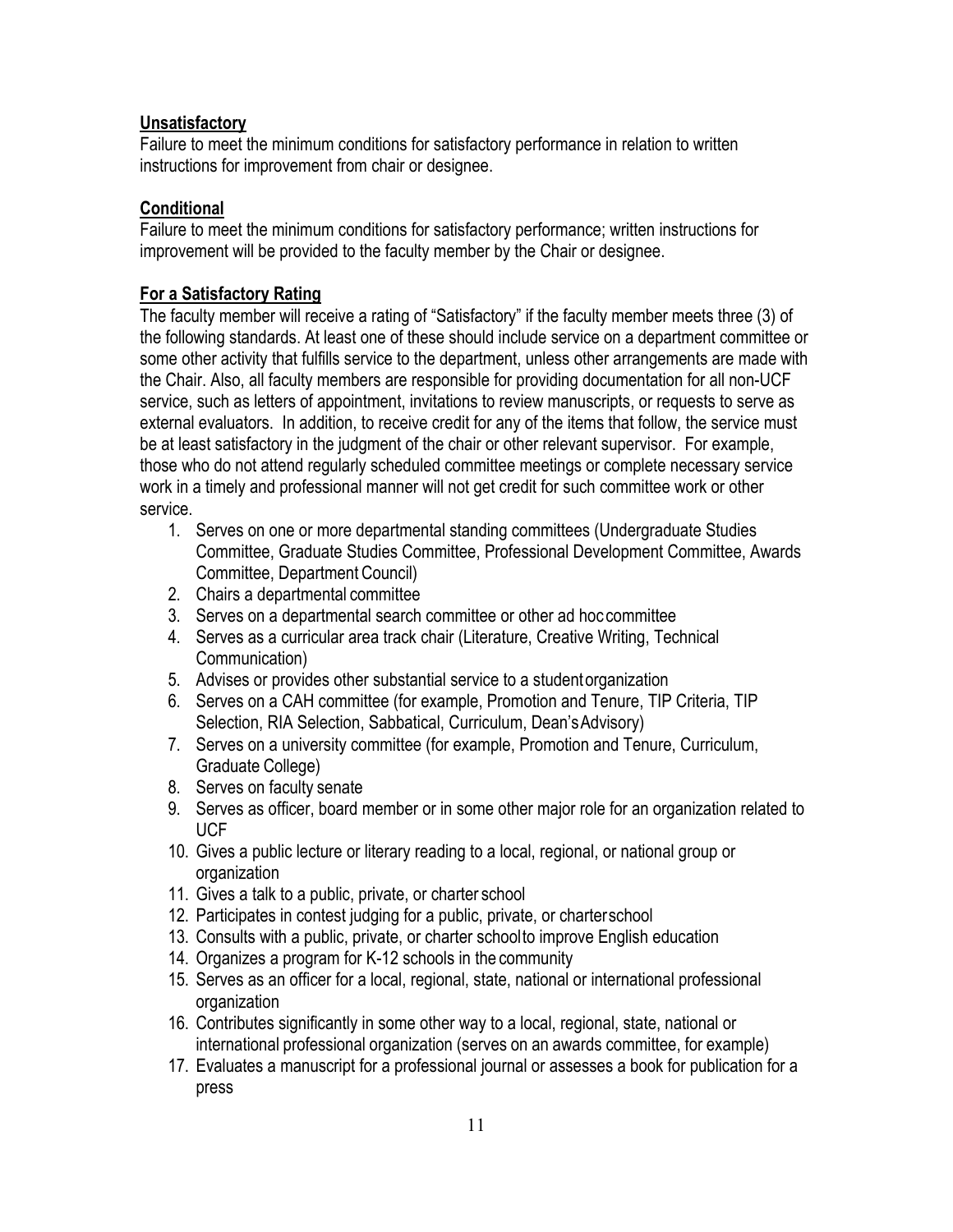### **Unsatisfactory**

Failure to meet the minimum conditions for satisfactory performance in relation to written instructions for improvement from chair or designee.

# **Conditional**

Failure to meet the minimum conditions for satisfactory performance; written instructions for improvement will be provided to the faculty member by the Chair or designee.

## **For a Satisfactory Rating**

The faculty member will receive a rating of "Satisfactory" if the faculty member meets three (3) of the following standards. At least one of these should include service on a department committee or some other activity that fulfills service to the department, unless other arrangements are made with the Chair. Also, all faculty members are responsible for providing documentation for all non-UCF service, such as letters of appointment, invitations to review manuscripts, or requests to serve as external evaluators. In addition, to receive credit for any of the items that follow, the service must be at least satisfactory in the judgment of the chair or other relevant supervisor. For example, those who do not attend regularly scheduled committee meetings or complete necessary service work in a timely and professional manner will not get credit for such committee work or other service.

- 1. Serves on one or more departmental standing committees (Undergraduate Studies Committee, Graduate Studies Committee, Professional Development Committee, Awards Committee, Department Council)
- 2. Chairs a departmental committee
- 3. Serves on a departmental search committee or other ad hoc committee
- 4. Serves as a curricular area track chair (Literature, Creative Writing, Technical Communication)
- 5. Advises or provides other substantial service to a studentorganization
- 6. Serves on a CAH committee (for example, Promotion and Tenure, TIP Criteria, TIP Selection, RIA Selection, Sabbatical, Curriculum, Dean'sAdvisory)
- 7. Serves on a university committee (for example, Promotion and Tenure, Curriculum, Graduate College)
- 8. Serves on faculty senate
- 9. Serves as officer, board member or in some other major role for an organization related to UCF
- 10. Gives a public lecture or literary reading to a local, regional, or national group or organization
- 11. Gives a talk to a public, private, or charter school
- 12. Participates in contest judging for a public, private, or charterschool
- 13. Consults with a public, private, or charter schoolto improve English education
- 14. Organizes a program for K-12 schools in the community
- 15. Serves as an officer for a local, regional, state, national or international professional organization
- 16. Contributes significantly in some other way to a local, regional, state, national or international professional organization (serves on an awards committee, for example)
- 17. Evaluates a manuscript for a professional journal or assesses a book for publication for a press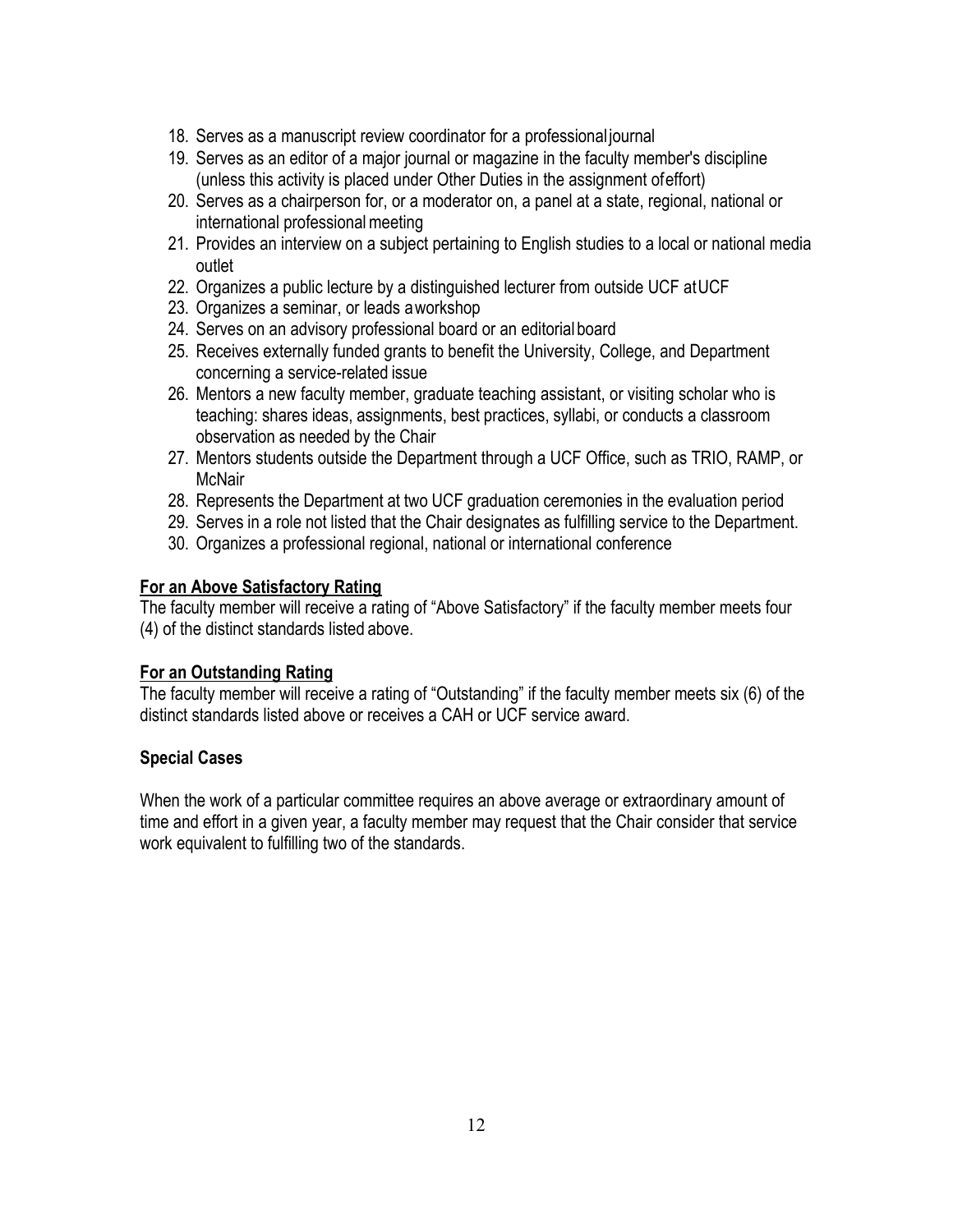- 18. Serves as a manuscript review coordinator for a professional journal
- 19. Serves as an editor of a major journal or magazine in the faculty member's discipline (unless this activity is placed under Other Duties in the assignment ofeffort)
- 20. Serves as a chairperson for, or a moderator on, a panel at a state, regional, national or international professional meeting
- 21. Provides an interview on a subject pertaining to English studies to a local or national media outlet
- 22. Organizes a public lecture by a distinguished lecturer from outside UCF atUCF
- 23. Organizes a seminar, or leads aworkshop
- 24. Serves on an advisory professional board or an editorial board
- 25. Receives externally funded grants to benefit the University, College, and Department concerning a service-related issue
- 26. Mentors a new faculty member, graduate teaching assistant, or visiting scholar who is teaching: shares ideas, assignments, best practices, syllabi, or conducts a classroom observation as needed by the Chair
- 27. Mentors students outside the Department through a UCF Office, such as TRIO, RAMP, or **McNair**
- 28. Represents the Department at two UCF graduation ceremonies in the evaluation period
- 29. Serves in a role not listed that the Chair designates as fulfilling service to the Department.
- 30. Organizes a professional regional, national or international conference

#### **For an Above Satisfactory Rating**

The faculty member will receive a rating of "Above Satisfactory" if the faculty member meets four (4) of the distinct standards listed above.

### **For an Outstanding Rating**

The faculty member will receive a rating of "Outstanding" if the faculty member meets six (6) of the distinct standards listed above or receives a CAH or UCF service award.

### **Special Cases**

When the work of a particular committee requires an above average or extraordinary amount of time and effort in a given year, a faculty member may request that the Chair consider that service work equivalent to fulfilling two of the standards.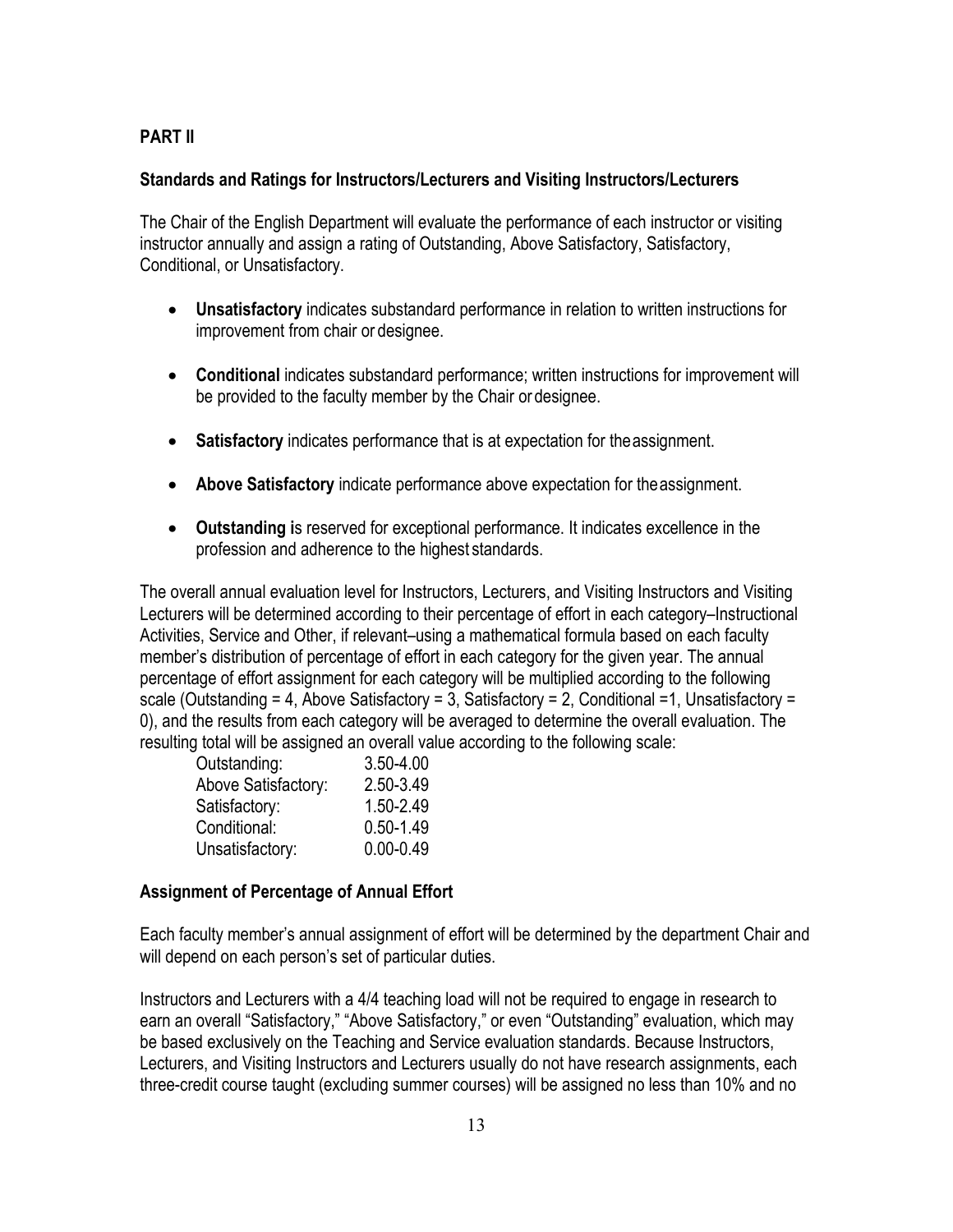### **PART II**

#### **Standards and Ratings for Instructors/Lecturers and Visiting Instructors/Lecturers**

The Chair of the English Department will evaluate the performance of each instructor or visiting instructor annually and assign a rating of Outstanding, Above Satisfactory, Satisfactory, Conditional, or Unsatisfactory.

- **Unsatisfactory** indicates substandard performance in relation to written instructions for improvement from chair or designee.
- **Conditional** indicates substandard performance; written instructions for improvement will be provided to the faculty member by the Chair or designee.
- **Satisfactory** indicates performance that is at expectation for theassignment.
- **Above Satisfactory** indicate performance above expectation for theassignment.
- **Outstanding i**s reserved for exceptional performance. It indicates excellence in the profession and adherence to the highest standards.

The overall annual evaluation level for Instructors, Lecturers, and Visiting Instructors and Visiting Lecturers will be determined according to their percentage of effort in each category–Instructional Activities, Service and Other, if relevant–using a mathematical formula based on each faculty member's distribution of percentage of effort in each category for the given year. The annual percentage of effort assignment for each category will be multiplied according to the following scale (Outstanding = 4, Above Satisfactory = 3, Satisfactory = 2, Conditional = 1, Unsatisfactory = 0), and the results from each category will be averaged to determine the overall evaluation. The resulting total will be assigned an overall value according to the following scale:

| Outstanding:        | $3.50 - 4.00$ |
|---------------------|---------------|
| Above Satisfactory: | 2.50-3.49     |
| Satisfactory:       | 1.50-2.49     |
| Conditional:        | $0.50 - 1.49$ |
| Unsatisfactory:     | $0.00 - 0.49$ |

### **Assignment of Percentage of Annual Effort**

Each faculty member's annual assignment of effort will be determined by the department Chair and will depend on each person's set of particular duties.

Instructors and Lecturers with a 4/4 teaching load will not be required to engage in research to earn an overall "Satisfactory," "Above Satisfactory," or even "Outstanding" evaluation, which may be based exclusively on the Teaching and Service evaluation standards. Because Instructors, Lecturers, and Visiting Instructors and Lecturers usually do not have research assignments, each three-credit course taught (excluding summer courses) will be assigned no less than 10% and no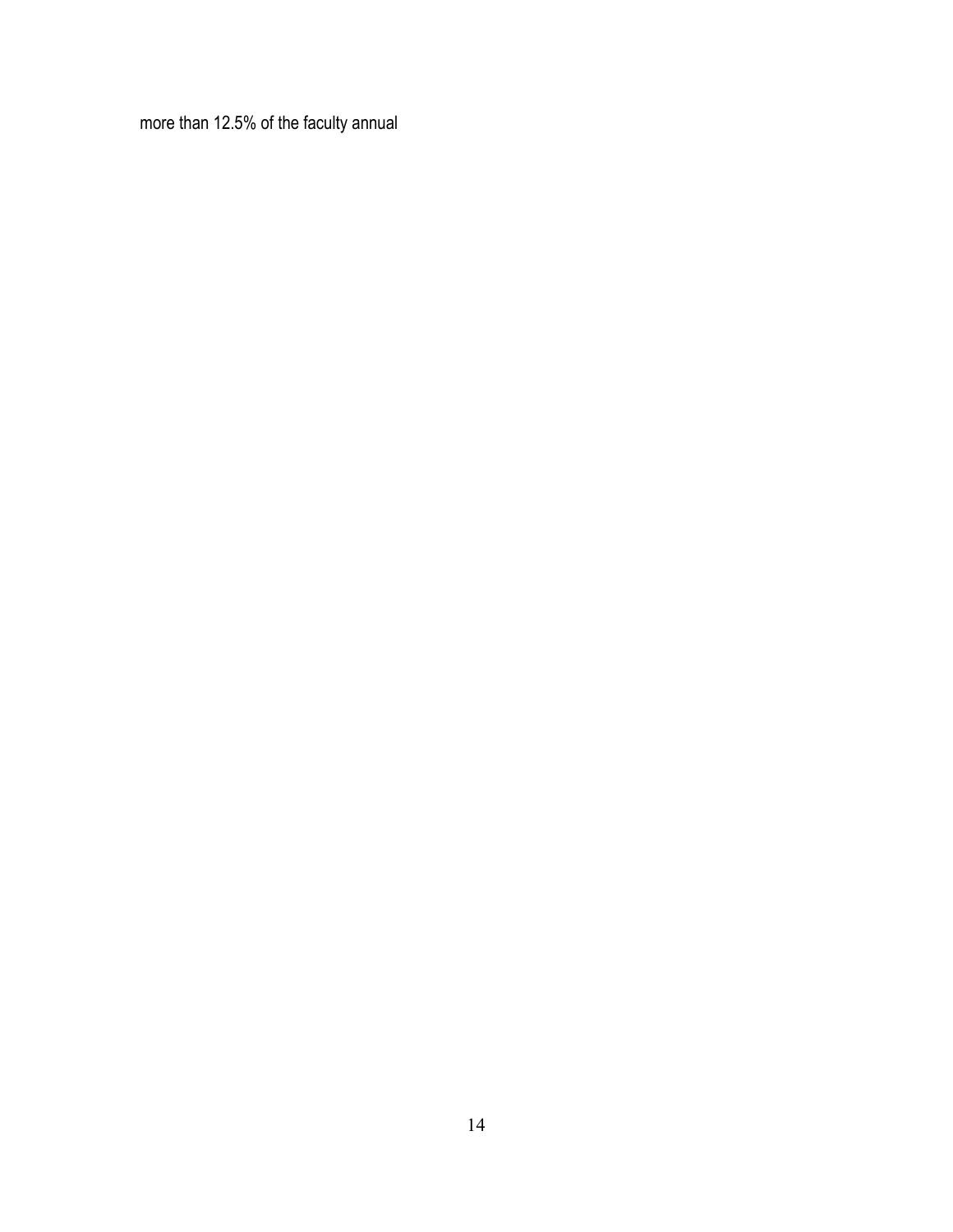more than 12.5% of the faculty annual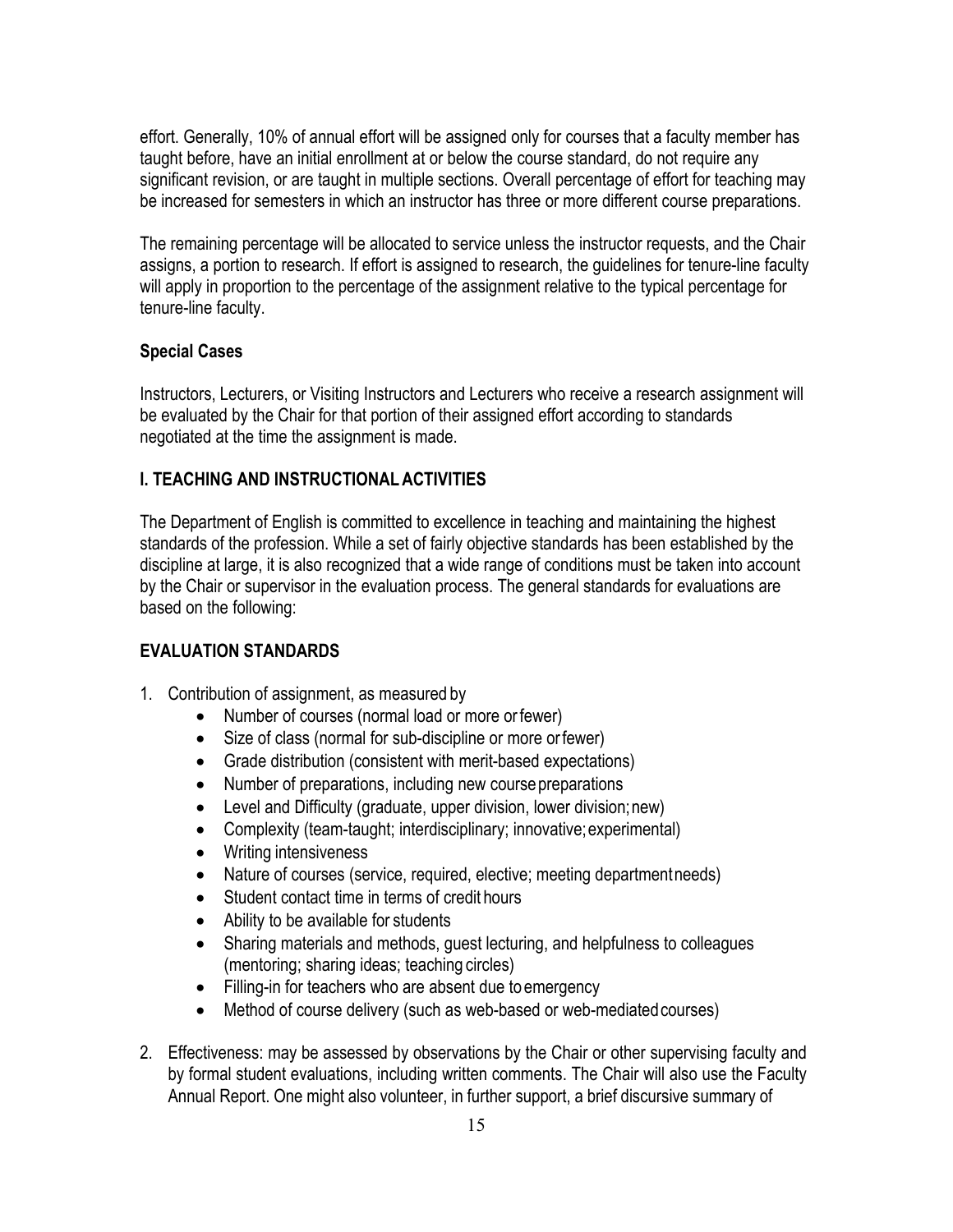effort. Generally, 10% of annual effort will be assigned only for courses that a faculty member has taught before, have an initial enrollment at or below the course standard, do not require any significant revision, or are taught in multiple sections. Overall percentage of effort for teaching may be increased for semesters in which an instructor has three or more different course preparations.

The remaining percentage will be allocated to service unless the instructor requests, and the Chair assigns, a portion to research. If effort is assigned to research, the guidelines for tenure-line faculty will apply in proportion to the percentage of the assignment relative to the typical percentage for tenure-line faculty.

#### **Special Cases**

Instructors, Lecturers, or Visiting Instructors and Lecturers who receive a research assignment will be evaluated by the Chair for that portion of their assigned effort according to standards negotiated at the time the assignment is made.

#### **I. TEACHING AND INSTRUCTIONALACTIVITIES**

The Department of English is committed to excellence in teaching and maintaining the highest standards of the profession. While a set of fairly objective standards has been established by the discipline at large, it is also recognized that a wide range of conditions must be taken into account by the Chair or supervisor in the evaluation process. The general standards for evaluations are based on the following:

#### **EVALUATION STANDARDS**

- 1. Contribution of assignment, as measured by
	- Number of courses (normal load or more orfewer)
	- Size of class (normal for sub-discipline or more orfewer)
	- Grade distribution (consistent with merit-based expectations)
	- Number of preparations, including new course preparations
	- Level and Difficulty (graduate, upper division, lower division; new)
	- Complexity (team-taught; interdisciplinary; innovative;experimental)
	- Writing intensiveness
	- Nature of courses (service, required, elective; meeting department needs)
	- Student contact time in terms of credit hours
	- Ability to be available for students
	- Sharing materials and methods, guest lecturing, and helpfulness to colleagues (mentoring; sharing ideas; teaching circles)
	- Filling-in for teachers who are absent due to emergency
	- Method of course delivery (such as web-based or web-mediated courses)
- 2. Effectiveness: may be assessed by observations by the Chair or other supervising faculty and by formal student evaluations, including written comments. The Chair will also use the Faculty Annual Report. One might also volunteer, in further support, a brief discursive summary of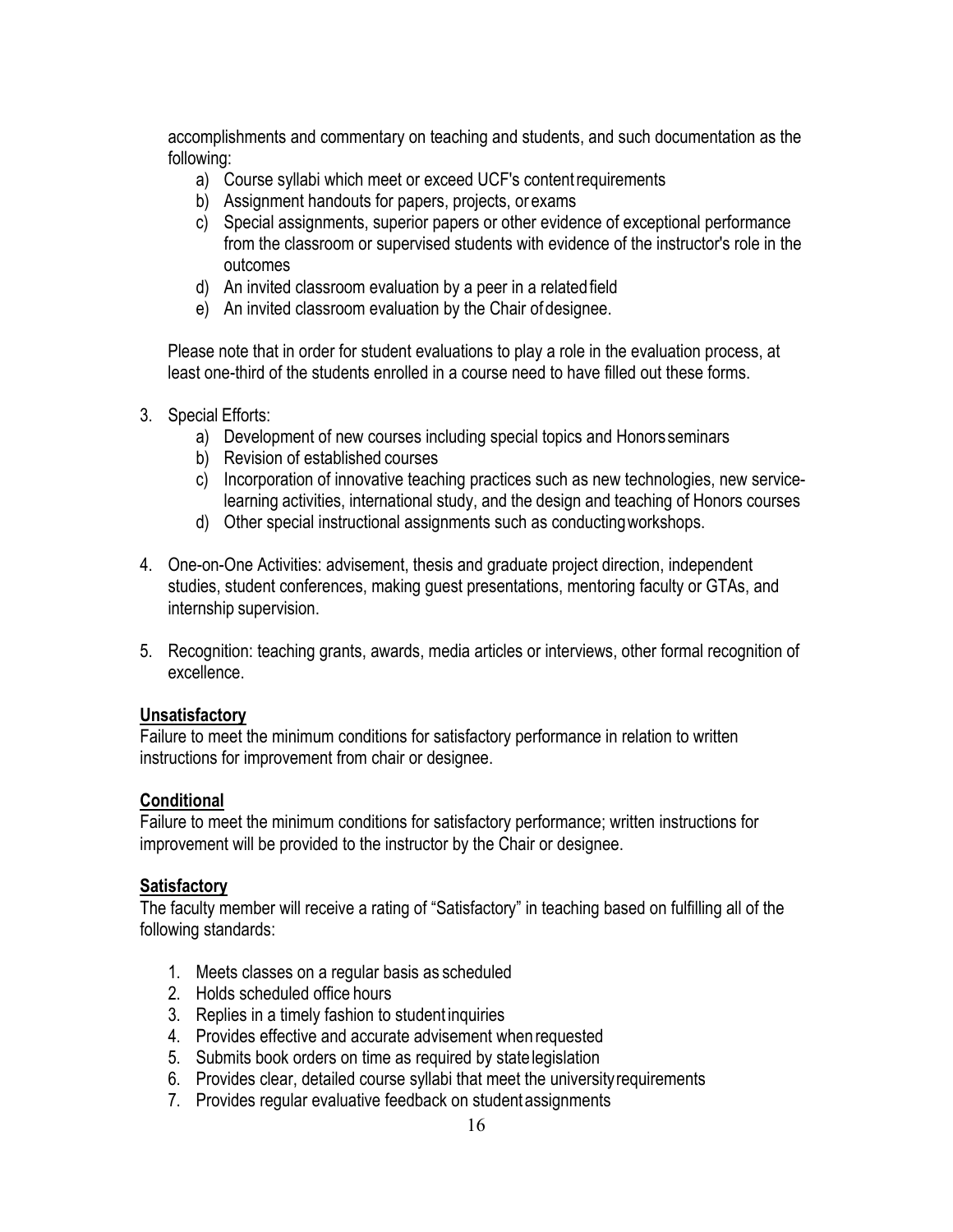accomplishments and commentary on teaching and students, and such documentation as the following:

- a) Course syllabi which meet or exceed UCF's contentrequirements
- b) Assignment handouts for papers, projects, or exams
- c) Special assignments, superior papers or other evidence of exceptional performance from the classroom or supervised students with evidence of the instructor's role in the outcomes
- d) An invited classroom evaluation by a peer in a related field
- e) An invited classroom evaluation by the Chair of designee.

Please note that in order for student evaluations to play a role in the evaluation process, at least one-third of the students enrolled in a course need to have filled out these forms.

- 3. Special Efforts:
	- a) Development of new courses including special topics and Honorsseminars
	- b) Revision of established courses
	- c) Incorporation of innovative teaching practices such as new technologies, new servicelearning activities, international study, and the design and teaching of Honors courses
	- d) Other special instructional assignments such as conductingworkshops.
- 4. One-on-One Activities: advisement, thesis and graduate project direction, independent studies, student conferences, making guest presentations, mentoring faculty or GTAs, and internship supervision.
- 5. Recognition: teaching grants, awards, media articles or interviews, other formal recognition of excellence.

#### **Unsatisfactory**

Failure to meet the minimum conditions for satisfactory performance in relation to written instructions for improvement from chair or designee.

### **Conditional**

Failure to meet the minimum conditions for satisfactory performance; written instructions for improvement will be provided to the instructor by the Chair or designee.

### **Satisfactory**

The faculty member will receive a rating of "Satisfactory" in teaching based on fulfilling all of the following standards:

- 1. Meets classes on a regular basis as scheduled
- 2. Holds scheduled office hours
- 3. Replies in a timely fashion to student inquiries
- 4. Provides effective and accurate advisement when requested
- 5. Submits book orders on time as required by statelegislation
- 6. Provides clear, detailed course syllabi that meet the universityrequirements
- 7. Provides regular evaluative feedback on studentassignments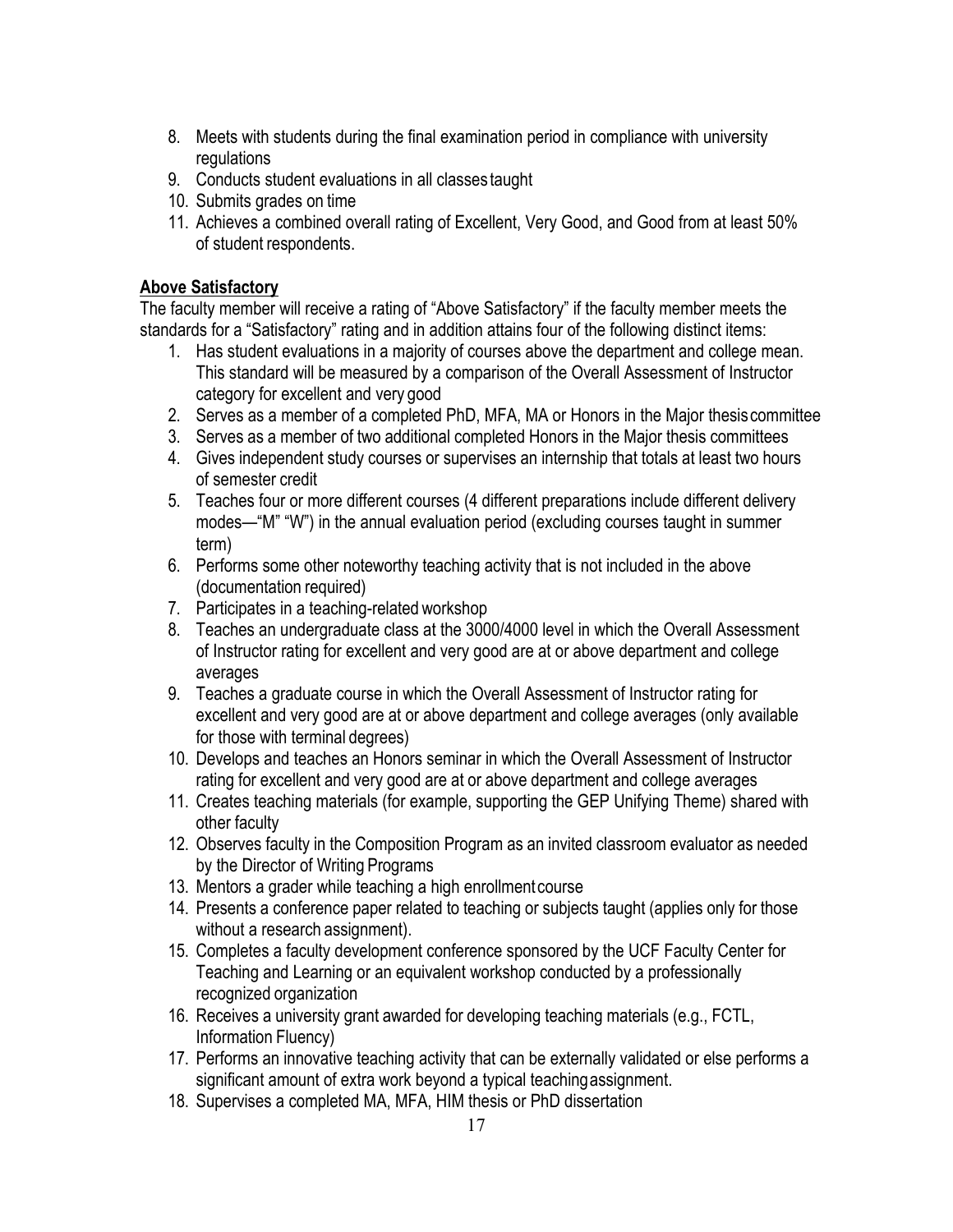- 8. Meets with students during the final examination period in compliance with university regulations
- 9. Conducts student evaluations in all classes taught
- 10. Submits grades on time
- 11. Achieves a combined overall rating of Excellent, Very Good, and Good from at least 50% of student respondents.

### **Above Satisfactory**

The faculty member will receive a rating of "Above Satisfactory" if the faculty member meets the standards for a "Satisfactory" rating and in addition attains four of the following distinct items:

- 1. Has student evaluations in a majority of courses above the department and college mean. This standard will be measured by a comparison of the Overall Assessment of Instructor category for excellent and very good
- 2. Serves as a member of a completed PhD, MFA, MA or Honors in the Major thesiscommittee
- 3. Serves as a member of two additional completed Honors in the Major thesis committees
- 4. Gives independent study courses or supervises an internship that totals at least two hours of semester credit
- 5. Teaches four or more different courses (4 different preparations include different delivery modes—"M" "W") in the annual evaluation period (excluding courses taught in summer term)
- 6. Performs some other noteworthy teaching activity that is not included in the above (documentation required)
- 7. Participates in a teaching-related workshop
- 8. Teaches an undergraduate class at the 3000/4000 level in which the Overall Assessment of Instructor rating for excellent and very good are at or above department and college averages
- 9. Teaches a graduate course in which the Overall Assessment of Instructor rating for excellent and very good are at or above department and college averages (only available for those with terminal degrees)
- 10. Develops and teaches an Honors seminar in which the Overall Assessment of Instructor rating for excellent and very good are at or above department and college averages
- 11. Creates teaching materials (for example, supporting the GEP Unifying Theme) shared with other faculty
- 12. Observes faculty in the Composition Program as an invited classroom evaluator as needed by the Director of Writing Programs
- 13. Mentors a grader while teaching a high enrollmentcourse
- 14. Presents a conference paper related to teaching or subjects taught (applies only for those without a research assignment).
- 15. Completes a faculty development conference sponsored by the UCF Faculty Center for Teaching and Learning or an equivalent workshop conducted by a professionally recognized organization
- 16. Receives a university grant awarded for developing teaching materials (e.g., FCTL, Information Fluency)
- 17. Performs an innovative teaching activity that can be externally validated or else performs a significant amount of extra work beyond a typical teachingassignment.
- 18. Supervises a completed MA, MFA, HIM thesis or PhD dissertation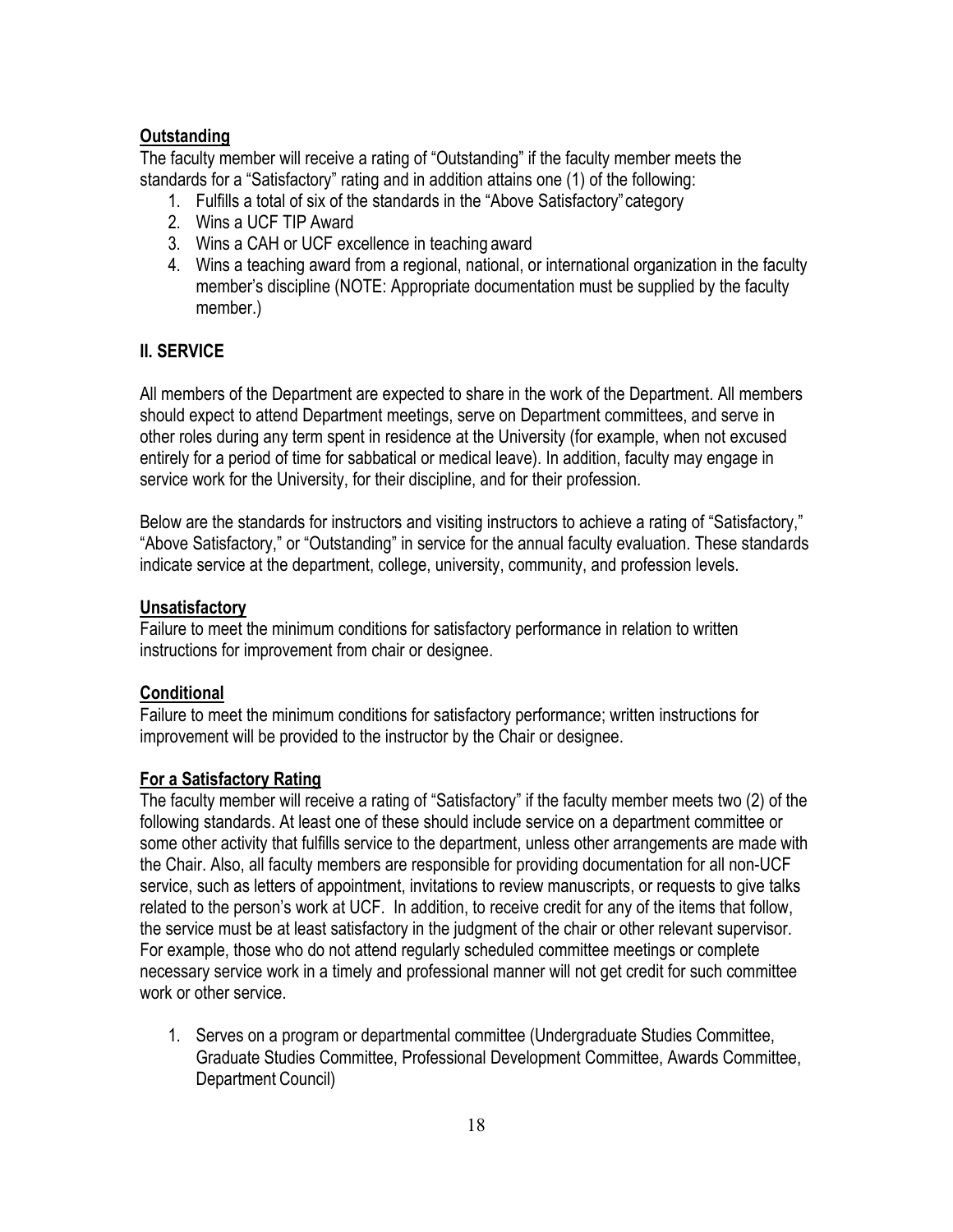#### **Outstanding**

The faculty member will receive a rating of "Outstanding" if the faculty member meets the standards for a "Satisfactory" rating and in addition attains one (1) of the following:

- 1. Fulfills a total of six of the standards in the "Above Satisfactory"category
- 2. Wins a UCF TIP Award
- 3. Wins a CAH or UCF excellence in teaching award
- 4. Wins a teaching award from a regional, national, or international organization in the faculty member's discipline (NOTE: Appropriate documentation must be supplied by the faculty member.)

### **II. SERVICE**

All members of the Department are expected to share in the work of the Department. All members should expect to attend Department meetings, serve on Department committees, and serve in other roles during any term spent in residence at the University (for example, when not excused entirely for a period of time for sabbatical or medical leave). In addition, faculty may engage in service work for the University, for their discipline, and for their profession.

Below are the standards for instructors and visiting instructors to achieve a rating of "Satisfactory," "Above Satisfactory," or "Outstanding" in service for the annual faculty evaluation. These standards indicate service at the department, college, university, community, and profession levels.

#### **Unsatisfactory**

Failure to meet the minimum conditions for satisfactory performance in relation to written instructions for improvement from chair or designee.

#### **Conditional**

Failure to meet the minimum conditions for satisfactory performance; written instructions for improvement will be provided to the instructor by the Chair or designee.

#### **For a Satisfactory Rating**

The faculty member will receive a rating of "Satisfactory" if the faculty member meets two (2) of the following standards. At least one of these should include service on a department committee or some other activity that fulfills service to the department, unless other arrangements are made with the Chair. Also, all faculty members are responsible for providing documentation for all non-UCF service, such as letters of appointment, invitations to review manuscripts, or requests to give talks related to the person's work at UCF. In addition, to receive credit for any of the items that follow, the service must be at least satisfactory in the judgment of the chair or other relevant supervisor. For example, those who do not attend regularly scheduled committee meetings or complete necessary service work in a timely and professional manner will not get credit for such committee work or other service.

1. Serves on a program or departmental committee (Undergraduate Studies Committee, Graduate Studies Committee, Professional Development Committee, Awards Committee, Department Council)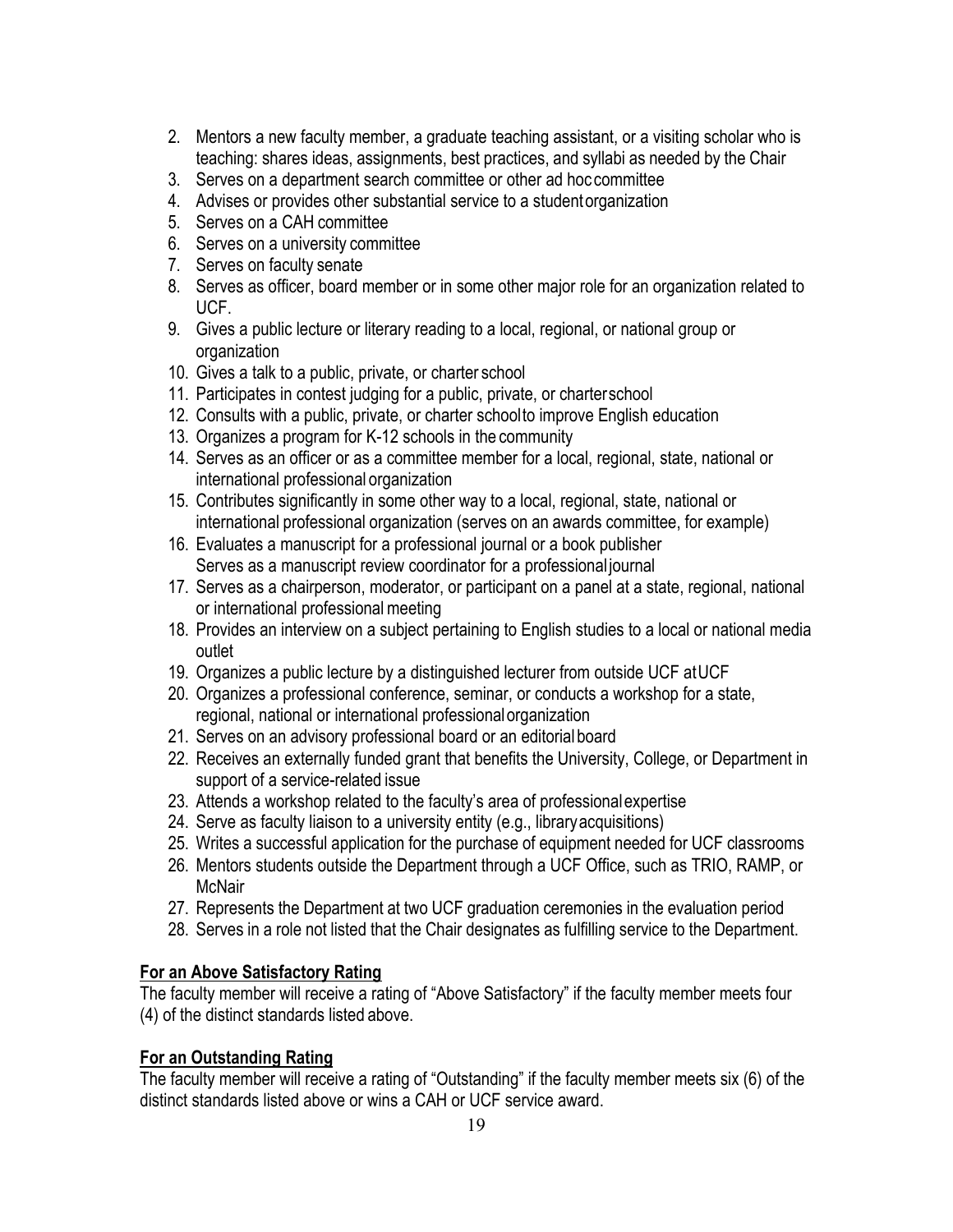- 2. Mentors a new faculty member, a graduate teaching assistant, or a visiting scholar who is teaching: shares ideas, assignments, best practices, and syllabi as needed by the Chair
- 3. Serves on a department search committee or other ad hoc committee
- 4. Advises or provides other substantial service to a studentorganization
- 5. Serves on a CAH committee
- 6. Serves on a university committee
- 7. Serves on faculty senate
- 8. Serves as officer, board member or in some other major role for an organization related to UCF.
- 9. Gives a public lecture or literary reading to a local, regional, or national group or organization
- 10. Gives a talk to a public, private, or charter school
- 11. Participates in contest judging for a public, private, or charterschool
- 12. Consults with a public, private, or charter schoolto improve English education
- 13. Organizes a program for K-12 schools in the community
- 14. Serves as an officer or as a committee member for a local, regional, state, national or international professional organization
- 15. Contributes significantly in some other way to a local, regional, state, national or international professional organization (serves on an awards committee, for example)
- 16. Evaluates a manuscript for a professional journal or a book publisher Serves as a manuscript review coordinator for a professional journal
- 17. Serves as a chairperson, moderator, or participant on a panel at a state, regional, national or international professional meeting
- 18. Provides an interview on a subject pertaining to English studies to a local or national media outlet
- 19. Organizes a public lecture by a distinguished lecturer from outside UCF atUCF
- 20. Organizes a professional conference, seminar, or conducts a workshop for a state, regional, national or international professionalorganization
- 21. Serves on an advisory professional board or an editorial board
- 22. Receives an externally funded grant that benefits the University, College, or Department in support of a service-related issue
- 23. Attends a workshop related to the faculty's area of professionalexpertise
- 24. Serve as faculty liaison to a university entity (e.g., libraryacquisitions)
- 25. Writes a successful application for the purchase of equipment needed for UCF classrooms
- 26. Mentors students outside the Department through a UCF Office, such as TRIO, RAMP, or **McNair**
- 27. Represents the Department at two UCF graduation ceremonies in the evaluation period
- 28. Serves in a role not listed that the Chair designates as fulfilling service to the Department.

# **For an Above Satisfactory Rating**

The faculty member will receive a rating of "Above Satisfactory" if the faculty member meets four (4) of the distinct standards listed above.

# **For an Outstanding Rating**

The faculty member will receive a rating of "Outstanding" if the faculty member meets six (6) of the distinct standards listed above or wins a CAH or UCF service award.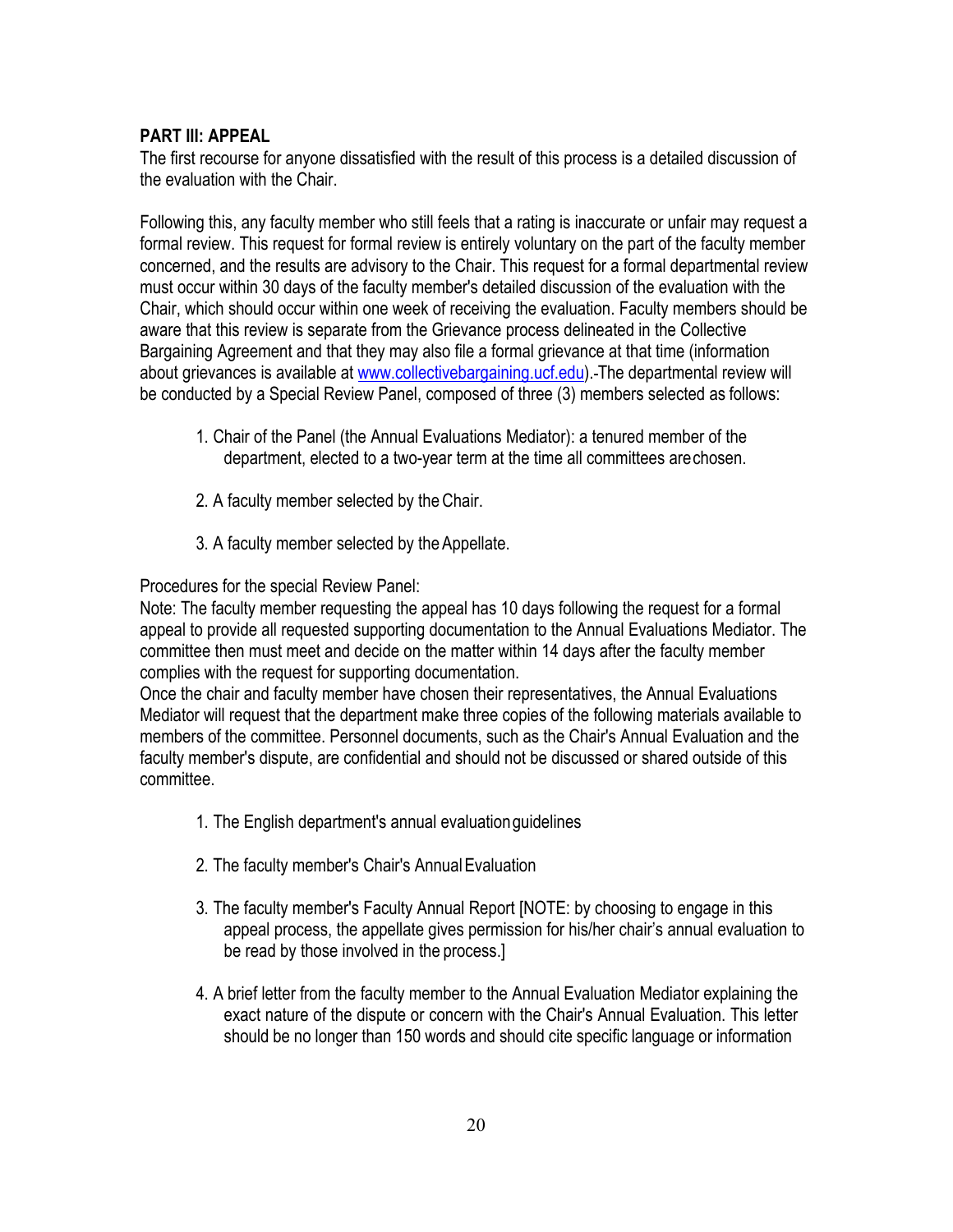### **PART III: APPEAL**

The first recourse for anyone dissatisfied with the result of this process is a detailed discussion of the evaluation with the Chair.

Following this, any faculty member who still feels that a rating is inaccurate or unfair may request a formal review. This request for formal review is entirely voluntary on the part of the faculty member concerned, and the results are advisory to the Chair. This request for a formal departmental review must occur within 30 days of the faculty member's detailed discussion of the evaluation with the Chair, which should occur within one week of receiving the evaluation. Faculty members should be aware that this review is separate from the Grievance process delineated in the Collective Bargaining Agreement and that they may also file a formal grievance at that time (information about grievances is available at [www.collectivebargaining.ucf.edu\)](http://www.collectivebargaining.ucf.edu/). The departmental review will be conducted by a Special Review Panel, composed of three (3) members selected as follows:

- 1. Chair of the Panel (the Annual Evaluations Mediator): a tenured member of the department, elected to a two-year term at the time all committees arechosen.
- 2. A faculty member selected by theChair.
- 3. A faculty member selected by the Appellate.

Procedures for the special Review Panel:

Note: The faculty member requesting the appeal has 10 days following the request for a formal appeal to provide all requested supporting documentation to the Annual Evaluations Mediator. The committee then must meet and decide on the matter within 14 days after the faculty member complies with the request for supporting documentation.

Once the chair and faculty member have chosen their representatives, the Annual Evaluations Mediator will request that the department make three copies of the following materials available to members of the committee. Personnel documents, such as the Chair's Annual Evaluation and the faculty member's dispute, are confidential and should not be discussed or shared outside of this committee.

- 1. The English department's annual evaluationguidelines
- 2. The faculty member's Chair's AnnualEvaluation
- 3. The faculty member's Faculty Annual Report [NOTE: by choosing to engage in this appeal process, the appellate gives permission for his/her chair's annual evaluation to be read by those involved in the process.]
- 4. A brief letter from the faculty member to the Annual Evaluation Mediator explaining the exact nature of the dispute or concern with the Chair's Annual Evaluation. This letter should be no longer than 150 words and should cite specific language or information